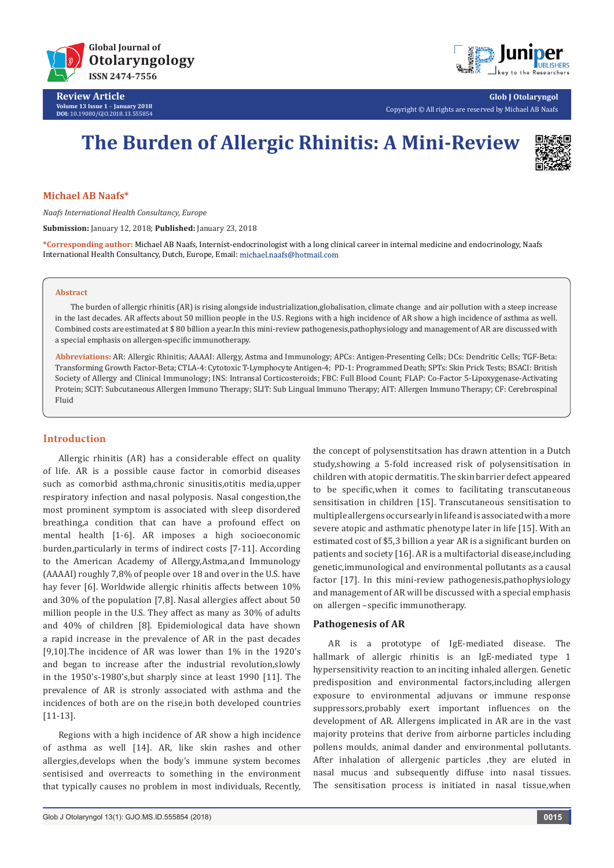

**Review Article Volume 13 Issue 1** - **January 2018 DOI:** [10.19080/GJO.2018.13.555854](http://dx.doi.org/10.19080/GJO.2018.13.555854)



**Glob J Otolaryngol** Copyright © All rights are reserved by Michael AB Naafs

# **The Burden of Allergic Rhinitis: A Mini-Review**



## **Michael AB Naafs\***

*Naafs International Health Consultancy, Europe*

**Submission:** January 12, 2018; **Published:** January 23, 2018

**\*Corresponding author:** Michael AB Naafs, Internist-endocrinologist with a long clinical career in internal medicine and endocrinology, Naafs International Health Consultancy, Dutch, Europe, Email:

#### **Abstract**

The burden of allergic rhinitis (AR) is rising alongside industrialization,globalisation, climate change and air pollution with a steep increase in the last decades. AR affects about 50 million people in the U.S. Regions with a high incidence of AR show a high incidence of asthma as well. Combined costs are estimated at \$ 80 billion a year.In this mini-review pathogenesis,pathophysiology and management of AR are discussed with a special emphasis on allergen-specific immunotherapy.

**Abbreviations:** AR: Allergic Rhinitis; AAAAI: Allergy, Astma and Immunology; APCs: Antigen-Presenting Cells; DCs: Dendritic Cells; TGF-Beta: Transforming Growth Factor-Beta; CTLA-4: Cytotoxic T-Lymphocyte Antigen-4; PD-1: Programmed Death; SPTs: Skin Prick Tests; BSACI: British Society of Allergy and Clinical Immunology; INS: Intransal Corticosteroids; FBC: Full Blood Count; FLAP: Co-Factor 5-Lipoxygenase-Activating Protein; SCIT: Subcutaneous Allergen Immuno Therapy; SLIT: Sub Lingual Immuno Therapy; AIT: Allergen Immuno Therapy; CF: Cerebrospinal Fluid

## **Introduction**

Allergic rhinitis (AR) has a considerable effect on quality of life. AR is a possible cause factor in comorbid diseases such as comorbid asthma,chronic sinusitis,otitis media,upper respiratory infection and nasal polyposis. Nasal congestion,the most prominent symptom is associated with sleep disordered breathing,a condition that can have a profound effect on mental health [1-6]. AR imposes a high socioeconomic burden,particularly in terms of indirect costs [7-11]. According to the American Academy of Allergy,Astma,and Immunology (AAAAI) roughly 7,8% of people over 18 and over in the U.S. have hay fever [6]. Worldwide allergic rhinitis affects between 10% and 30% of the population [7,8]. Nasal allergies affect about 50 million people in the U.S. They affect as many as 30% of adults and 40% of children [8]. Epidemiological data have shown a rapid increase in the prevalence of AR in the past decades [9,10].The incidence of AR was lower than 1% in the 1920's and began to increase after the industrial revolution,slowly in the 1950's-1980's,but sharply since at least 1990 [11]. The prevalence of AR is stronly associated with asthma and the incidences of both are on the rise,in both developed countries [11-13].

Regions with a high incidence of AR show a high incidence of asthma as well [14]. AR, like skin rashes and other allergies,develops when the body's immune system becomes sentisised and overreacts to something in the environment that typically causes no problem in most individuals, Recently,

the concept of polysenstitsation has drawn attention in a Dutch study,showing a 5-fold increased risk of polysensitisation in children with atopic dermatitis. The skin barrier defect appeared to be specific,when it comes to facilitating transcutaneous sensitisation in children [15]. Transcutaneous sensitisation to multiple allergens occurs early in life and is associated with a more severe atopic and asthmatic phenotype later in life [15]. With an estimated cost of \$5,3 billion a year AR is a significant burden on patients and society [16]. AR is a multifactorial disease,including genetic,immunological and environmental pollutants as a causal factor [17]. In this mini-review pathogenesis,pathophysiology and management of AR will be discussed with a special emphasis on allergen –specific immunotherapy.

## **Pathogenesis of AR**

AR is a prototype of IgE-mediated disease. The hallmark of allergic rhinitis is an IgE-mediated type 1 hypersensitivity reaction to an inciting inhaled allergen. Genetic predisposition and environmental factors,including allergen exposure to environmental adjuvans or immune response suppressors,probably exert important influences on the development of AR. Allergens implicated in AR are in the vast majority proteins that derive from airborne particles including pollens moulds, animal dander and environmental pollutants. After inhalation of allergenic particles ,they are eluted in nasal mucus and subsequently diffuse into nasal tissues. The sensitisation process is initiated in nasal tissue,when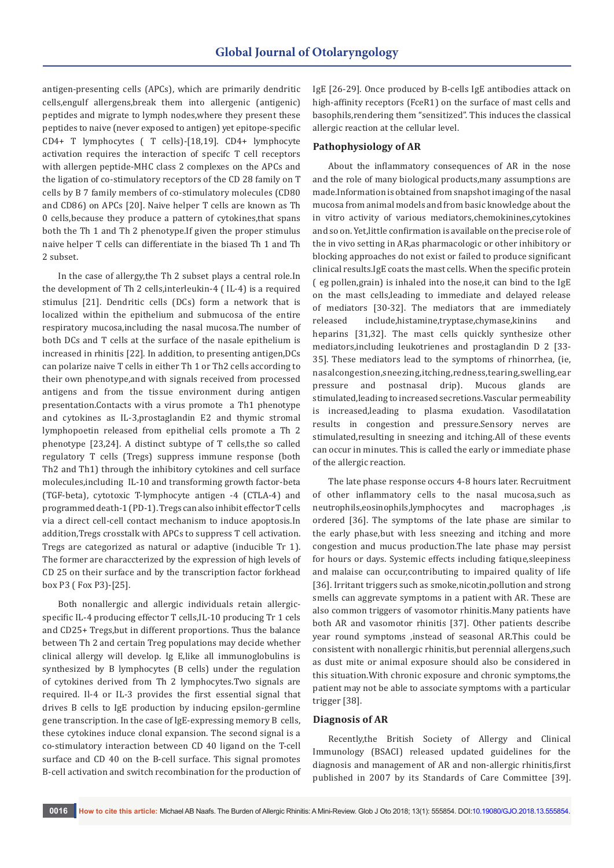antigen-presenting cells (APCs), which are primarily dendritic cells,engulf allergens,break them into allergenic (antigenic) peptides and migrate to lymph nodes,where they present these peptides to naive (never exposed to antigen) yet epitope-specific CD4+ T lymphocytes ( T cells)-[18,19]. CD4+ lymphocyte activation requires the interaction of specifc T cell receptors with allergen peptide-MHC class 2 complexes on the APCs and the ligation of co-stimulatory receptors of the CD 28 family on T cells by B 7 family members of co-stimulatory molecules (CD80 and CD86) on APCs [20]. Naive helper T cells are known as Th 0 cells,because they produce a pattern of cytokines,that spans both the Th 1 and Th 2 phenotype.If given the proper stimulus naive helper T cells can differentiate in the biased Th 1 and Th 2 subset.

In the case of allergy,the Th 2 subset plays a central role.In the development of Th 2 cells,interleukin-4 ( IL-4) is a required stimulus [21]. Dendritic cells (DCs) form a network that is localized within the epithelium and submucosa of the entire respiratory mucosa,including the nasal mucosa.The number of both DCs and T cells at the surface of the nasale epithelium is increased in rhinitis [22]. In addition, to presenting antigen,DCs can polarize naive T cells in either Th 1 or Th2 cells according to their own phenotype,and with signals received from processed antigens and from the tissue environment during antigen presentation.Contacts with a virus promote a Th1 phenotype and cytokines as IL-3,prostaglandin E2 and thymic stromal lymphopoetin released from epithelial cells promote a Th 2 phenotype [23,24]. A distinct subtype of T cells,the so called regulatory T cells (Tregs) suppress immune response (both Th2 and Th1) through the inhibitory cytokines and cell surface molecules,including IL-10 and transforming growth factor-beta (TGF-beta), cytotoxic T-lymphocyte antigen -4 (CTLA-4) and programmed death-1 (PD-1). Tregs can also inhibit effector T cells via a direct cell-cell contact mechanism to induce apoptosis.In addition,Tregs crosstalk with APCs to suppress T cell activation. Tregs are categorized as natural or adaptive (inducible Tr 1). The former are characcterized by the expression of high levels of CD 25 on their surface and by the transcription factor forkhead box P3 ( Fox P3)-[25].

Both nonallergic and allergic individuals retain allergicspecific IL-4 producing effector T cells,IL-10 producing Tr 1 cels and CD25+ Tregs,but in different proportions. Thus the balance between Th 2 and certain Treg populations may decide whether clinical allergy will develop. Ig E,like all immunoglobulins is synthesized by B lymphocytes (B cells) under the regulation of cytokines derived from Th 2 lymphocytes.Two signals are required. Il-4 or IL-3 provides the first essential signal that drives B cells to IgE production by inducing epsilon-germline gene transcription. In the case of IgE-expressing memory B cells, these cytokines induce clonal expansion. The second signal is a co-stimulatory interaction between CD 40 ligand on the T-cell surface and CD 40 on the B-cell surface. This signal promotes B-cell activation and switch recombination for the production of IgE [26-29]. Once produced by B-cells IgE antibodies attack on high-affinity receptors (FceR1) on the surface of mast cells and basophils,rendering them "sensitized". This induces the classical allergic reaction at the cellular level.

#### **Pathophysiology of AR**

About the inflammatory consequences of AR in the nose and the role of many biological products,many assumptions are made.Information is obtained from snapshot imaging of the nasal mucosa from animal models and from basic knowledge about the in vitro activity of various mediators,chemokinines,cytokines and so on. Yet,little confirmation is available on the precise role of the in vivo setting in AR,as pharmacologic or other inhibitory or blocking approaches do not exist or failed to produce significant clinical results.IgE coats the mast cells. When the specific protein ( eg pollen,grain) is inhaled into the nose,it can bind to the IgE on the mast cells,leading to immediate and delayed release of mediators [30-32]. The mediators that are immediately released include,histamine,tryptase,chymase,kinins and heparins [31,32]. The mast cells quickly synthesize other mediators,including leukotrienes and prostaglandin D 2 [33- 35]. These mediators lead to the symptoms of rhinorrhea, (ie, nasalcongestion,sneezing,itching,redness,tearing,swelling,ear pressure and postnasal drip). Mucous glands are stimulated,leading to increased secretions.Vascular permeability is increased,leading to plasma exudation. Vasodilatation results in congestion and pressure.Sensory nerves are stimulated,resulting in sneezing and itching.All of these events can occur in minutes. This is called the early or immediate phase of the allergic reaction.

The late phase response occurs 4-8 hours later. Recruitment of other inflammatory cells to the nasal mucosa,such as neutrophils,eosinophils,lymphocytes and macrophages ,is ordered [36]. The symptoms of the late phase are similar to the early phase,but with less sneezing and itching and more congestion and mucus production.The late phase may persist for hours or days. Systemic effects including fatique,sleepiness and malaise can occur,contributing to impaired quality of life [36]. Irritant triggers such as smoke,nicotin,pollution and strong smells can aggrevate symptoms in a patient with AR. These are also common triggers of vasomotor rhinitis.Many patients have both AR and vasomotor rhinitis [37]. Other patients describe year round symptoms ,instead of seasonal AR.This could be consistent with nonallergic rhinitis,but perennial allergens,such as dust mite or animal exposure should also be considered in this situation.With chronic exposure and chronic symptoms,the patient may not be able to associate symptoms with a particular trigger [38].

## **Diagnosis of AR**

Recently,the British Society of Allergy and Clinical Immunology (BSACI) released updated guidelines for the diagnosis and management of AR and non-allergic rhinitis,first published in 2007 by its Standards of Care Committee [39].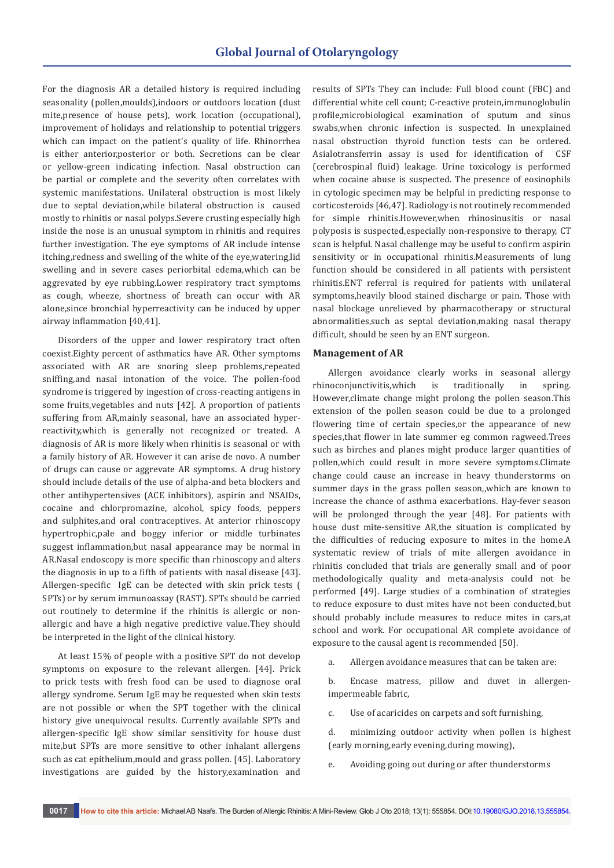For the diagnosis AR a detailed history is required including seasonality (pollen,moulds),indoors or outdoors location (dust mite,presence of house pets), work location (occupational), improvement of holidays and relationship to potential triggers which can impact on the patient's quality of life. Rhinorrhea is either anterior,posterior or both. Secretions can be clear or yellow-green indicating infection. Nasal obstruction can be partial or complete and the severity often correlates with systemic manifestations. Unilateral obstruction is most likely due to septal deviation,while bilateral obstruction is caused mostly to rhinitis or nasal polyps.Severe crusting especially high inside the nose is an unusual symptom in rhinitis and requires further investigation. The eye symptoms of AR include intense itching,redness and swelling of the white of the eye,watering,lid swelling and in severe cases periorbital edema,which can be aggrevated by eye rubbing.Lower respiratory tract symptoms as cough, wheeze, shortness of breath can occur with AR alone,since bronchial hyperreactivity can be induced by upper airway inflammation [40,41].

Disorders of the upper and lower respiratory tract often coexist.Eighty percent of asthmatics have AR. Other symptoms associated with AR are snoring sleep problems,repeated sniffing,and nasal intonation of the voice. The pollen-food syndrome is triggered by ingestion of cross-reacting antigens in some fruits,vegetables and nuts [42]. A proportion of patients suffering from AR,mainly seasonal, have an associated hyperreactivity,which is generally not recognized or treated. A diagnosis of AR is more likely when rhinitis is seasonal or with a family history of AR. However it can arise de novo. A number of drugs can cause or aggrevate AR symptoms. A drug history should include details of the use of alpha-and beta blockers and other antihypertensives (ACE inhibitors), aspirin and NSAIDs, cocaine and chlorpromazine, alcohol, spicy foods, peppers and sulphites,and oral contraceptives. At anterior rhinoscopy hypertrophic,pale and boggy inferior or middle turbinates suggest inflammation,but nasal appearance may be normal in AR.Nasal endoscopy is more specific than rhinoscopy and alters the diagnosis in up to a fifth of patients with nasal disease [43]. Allergen-specific IgE can be detected with skin prick tests ( SPTs) or by serum immunoassay (RAST). SPTs should be carried out routinely to determine if the rhinitis is allergic or nonallergic and have a high negative predictive value.They should be interpreted in the light of the clinical history.

At least 15% of people with a positive SPT do not develop symptoms on exposure to the relevant allergen. [44]. Prick to prick tests with fresh food can be used to diagnose oral allergy syndrome. Serum IgE may be requested when skin tests are not possible or when the SPT together with the clinical history give unequivocal results. Currently available SPTs and allergen-specific IgE show similar sensitivity for house dust mite,but SPTs are more sensitive to other inhalant allergens such as cat epithelium,mould and grass pollen. [45]. Laboratory investigations are guided by the history,examination and

results of SPTs They can include: Full blood count (FBC) and differential white cell count; C-reactive protein,immunoglobulin profile,microbiological examination of sputum and sinus swabs,when chronic infection is suspected. In unexplained nasal obstruction thyroid function tests can be ordered. Asialotransferrin assay is used for identification of CSF (cerebrospinal fluid) leakage. Urine toxicology is performed when cocaine abuse is suspected. The presence of eosinophils in cytologic specimen may be helpful in predicting response to corticosteroids [46,47]. Radiology is not routinely recommended for simple rhinitis.However,when rhinosinusitis or nasal polyposis is suspected,especially non-responsive to therapy, CT scan is helpful. Nasal challenge may be useful to confirm aspirin sensitivity or in occupational rhinitis.Measurements of lung function should be considered in all patients with persistent rhinitis.ENT referral is required for patients with unilateral symptoms,heavily blood stained discharge or pain. Those with nasal blockage unrelieved by pharmacotherapy or structural abnormalities,such as septal deviation,making nasal therapy difficult, should be seen by an ENT surgeon.

#### **Management of AR**

Allergen avoidance clearly works in seasonal allergy rhinoconjunctivitis,which is traditionally in spring. However,climate change might prolong the pollen season.This extension of the pollen season could be due to a prolonged flowering time of certain species,or the appearance of new species,that flower in late summer eg common ragweed.Trees such as birches and planes might produce larger quantities of pollen,which could result in more severe symptoms.Climate change could cause an increase in heavy thunderstorms on summer days in the grass pollen season,,which are known to increase the chance of asthma exacerbations. Hay-fever season will be prolonged through the year [48]. For patients with house dust mite-sensitive AR,the situation is complicated by the difficulties of reducing exposure to mites in the home.A systematic review of trials of mite allergen avoidance in rhinitis concluded that trials are generally small and of poor methodologically quality and meta-analysis could not be performed [49]. Large studies of a combination of strategies to reduce exposure to dust mites have not been conducted,but should probably include measures to reduce mites in cars,at school and work. For occupational AR complete avoidance of exposure to the causal agent is recommended [50].

a. Allergen avoidance measures that can be taken are:

b. Encase matress, pillow and duvet in allergenimpermeable fabric,

c. Use of acaricides on carpets and soft furnishing,

d. minimizing outdoor activity when pollen is highest (early morning,early evening,during mowing),

e. Avoiding going out during or after thunderstorms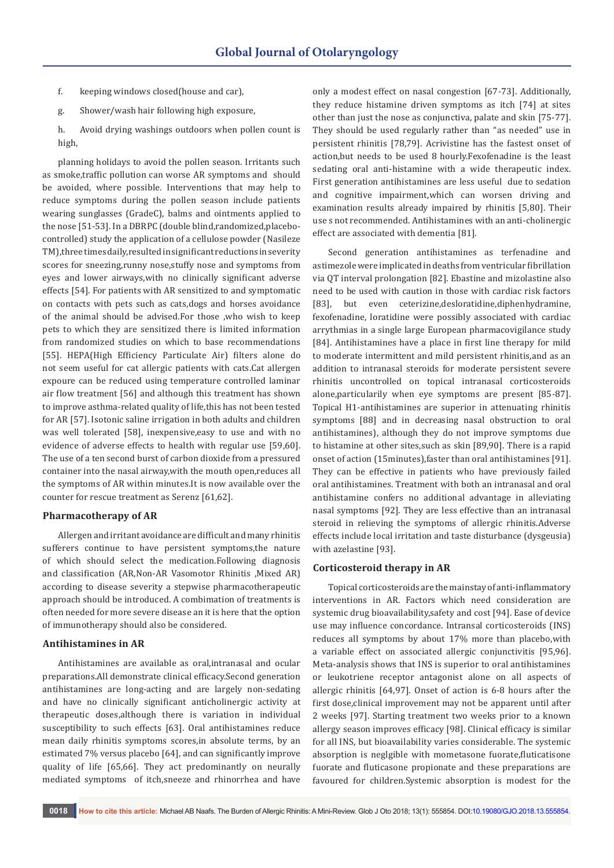- f. keeping windows closed(house and car),
- g. Shower/wash hair following high exposure,
- h. Avoid drying washings outdoors when pollen count is high,

planning holidays to avoid the pollen season. Irritants such as smoke,traffic pollution can worse AR symptoms and should be avoided, where possible. Interventions that may help to reduce symptoms during the pollen season include patients wearing sunglasses (GradeC), balms and ointments applied to the nose [51-53]. In a DBRPC (double blind,randomized,placebocontrolled) study the application of a cellulose powder (Nasileze TM),three times daily,resulted in significant reductions in severity scores for sneezing,runny nose,stuffy nose and symptoms from eyes and lower airways,with no clinically significant adverse effects [54]. For patients with AR sensitized to and symptomatic on contacts with pets such as cats,dogs and horses avoidance of the animal should be advised.For those ,who wish to keep pets to which they are sensitized there is limited information from randomized studies on which to base recommendations [55]. HEPA(High Efficiency Particulate Air) filters alone do not seem useful for cat allergic patients with cats.Cat allergen expoure can be reduced using temperature controlled laminar air flow treatment [56] and although this treatment has shown to improve asthma-related quality of life,this has not been tested for AR [57]. Isotonic saline irrigation in both adults and children was well tolerated [58], inexpensive,easy to use and with no evidence of adverse effects to health with regular use [59,60]. The use of a ten second burst of carbon dioxide from a pressured container into the nasal airway,with the mouth open,reduces all the symptoms of AR within minutes.It is now available over the counter for rescue treatment as Serenz [61,62].

## **Pharmacotherapy of AR**

Allergen and irritant avoidance are difficult and many rhinitis sufferers continue to have persistent symptoms,the nature of which should select the medication.Following diagnosis and classification (AR,Non-AR Vasomotor Rhinitis ,Mixed AR) according to disease severity a stepwise pharmacotherapeutic approach should be introduced. A combimation of treatments is often needed for more severe disease an it is here that the option of immunotherapy should also be considered.

#### **Antihistamines in AR**

Antihistamines are available as oral,intranasal and ocular preparations.All demonstrate clinical efficacy.Second generation antihistamines are long-acting and are largely non-sedating and have no clinically significant anticholinergic activity at therapeutic doses,although there is variation in individual susceptibility to such effects [63]. Oral antihistamines reduce mean daily rhinitis symptoms scores,in absolute terms, by an estimated 7% versus placebo [64], and can significantly improve quality of life [65,66]. They act predominantly on neurally mediated symptoms of itch,sneeze and rhinorrhea and have

only a modest effect on nasal congestion [67-73]. Additionally, they reduce histamine driven symptoms as itch [74] at sites other than just the nose as conjunctiva, palate and skin [75-77]. They should be used regularly rather than "as needed" use in persistent rhinitis [78,79]. Acrivistine has the fastest onset of action,but needs to be used 8 hourly.Fexofenadine is the least sedating oral anti-histamine with a wide therapeutic index. First generation antihistamines are less useful due to sedation and cognitive impairment,which can worsen driving and examination results already impaired by rhinitis [5,80]. Their use s not recommended. Antihistamines with an anti-cholinergic effect are associated with dementia [81].

Second generation antihistamines as terfenadine and astimezole were implicated in deaths from ventricular fibrillation via QT interval prolongation [82]. Ebastine and mizolastine also need to be used with caution in those with cardiac risk factors [83], but even ceterizine,desloratidine,diphenhydramine, fexofenadine, loratidine were possibly associated with cardiac arrythmias in a single large European pharmacovigilance study [84]. Antihistamines have a place in first line therapy for mild to moderate intermittent and mild persistent rhinitis,and as an addition to intranasal steroids for moderate persistent severe rhinitis uncontrolled on topical intranasal corticosteroids alone,particularily when eye symptoms are present [85-87]. Topical H1-antihistamines are superior in attenuating rhinitis symptoms [88] and in decreasing nasal obstruction to oral antihistamines), although they do not improve symptoms due to histamine at other sites,such as skin [89,90]. There is a rapid onset of action (15minutes),faster than oral antihistamines [91]. They can be effective in patients who have previously failed oral antihistamines. Treatment with both an intranasal and oral antihistamine confers no additional advantage in alleviating nasal symptoms [92]. They are less effective than an intranasal steroid in relieving the symptoms of allergic rhinitis.Adverse effects include local irritation and taste disturbance (dysgeusia) with azelastine [93].

#### **Corticosteroid therapy in AR**

Topical corticosteroids are the mainstay of anti-inflammatory interventions in AR. Factors which need consideration are systemic drug bioavailability,safety and cost [94]. Ease of device use may influence concordance. Intransal corticosteroids (INS) reduces all symptoms by about 17% more than placebo,with a variable effect on associated allergic conjunctivitis [95,96]. Meta-analysis shows that INS is superior to oral antihistamines or leukotriene receptor antagonist alone on all aspects of allergic rhinitis [64,97]. Onset of action is 6-8 hours after the first dose,clinical improvement may not be apparent until after 2 weeks [97]. Starting treatment two weeks prior to a known allergy season improves efficacy [98]. Clinical efficacy is similar for all INS, but bioavailability varies considerable. The systemic absorption is neglgible with mometasone fuorate,fluticatisone fuorate and fluticasone propionate and these preparations are favoured for children.Systemic absorption is modest for the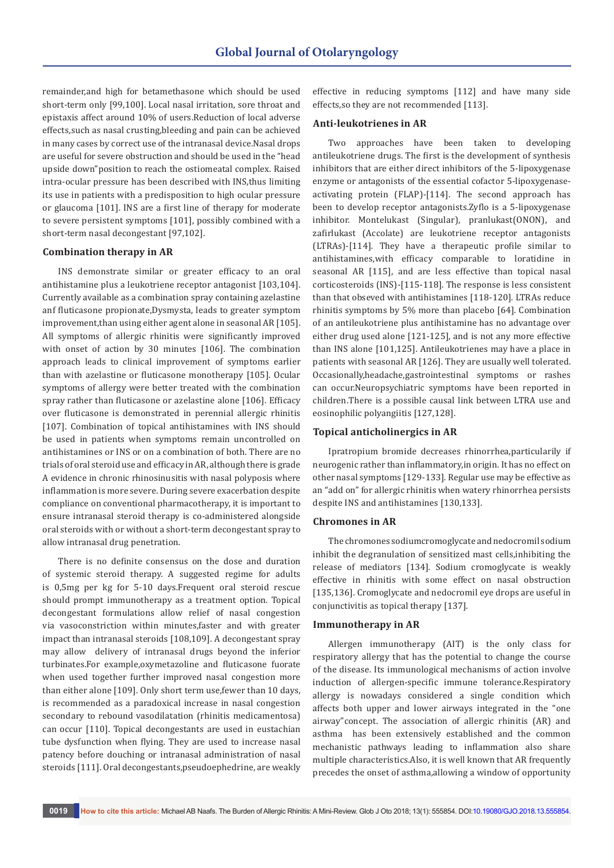remainder,and high for betamethasone which should be used short-term only [99,100]. Local nasal irritation, sore throat and epistaxis affect around 10% of users.Reduction of local adverse effects,such as nasal crusting,bleeding and pain can be achieved in many cases by correct use of the intranasal device.Nasal drops are useful for severe obstruction and should be used in the "head upside down"position to reach the ostiomeatal complex. Raised intra-ocular pressure has been described with INS,thus limiting its use in patients with a predisposition to high ocular pressure or glaucoma [101]. INS are a first line of therapy for moderate to severe persistent symptoms [101], possibly combined with a short-term nasal decongestant [97,102].

# **Combination therapy in AR**

INS demonstrate similar or greater efficacy to an oral antihistamine plus a leukotriene receptor antagonist [103,104]. Currently available as a combination spray containing azelastine anf fluticasone propionate,Dysmysta, leads to greater symptom improvement, than using either agent alone in seasonal AR [105]. All symptoms of allergic rhinitis were significantly improved with onset of action by 30 minutes [106]. The combination approach leads to clinical improvement of symptoms earlier than with azelastine or fluticasone monotherapy [105]. Ocular symptoms of allergy were better treated with the combination spray rather than fluticasone or azelastine alone [106]. Efficacy over fluticasone is demonstrated in perennial allergic rhinitis [107]. Combination of topical antihistamines with INS should be used in patients when symptoms remain uncontrolled on antihistamines or INS or on a combination of both. There are no trials of oral steroid use and efficacy in AR, although there is grade A evidence in chronic rhinosinusitis with nasal polyposis where inflammation is more severe. During severe exacerbation despite compliance on conventional pharmacotherapy, it is important to ensure intranasal steroid therapy is co-administered alongside oral steroids with or without a short-term decongestant spray to allow intranasal drug penetration.

There is no definite consensus on the dose and duration of systemic steroid therapy. A suggested regime for adults is 0,5mg per kg for 5-10 days.Frequent oral steroid rescue should prompt immunotherapy as a treatment option. Topical decongestant formulations allow relief of nasal congestion via vasoconstriction within minutes,faster and with greater impact than intranasal steroids [108,109]. A decongestant spray may allow delivery of intranasal drugs beyond the inferior turbinates.For example,oxymetazoline and fluticasone fuorate when used together further improved nasal congestion more than either alone [109]. Only short term use,fewer than 10 days, is recommended as a paradoxical increase in nasal congestion secondary to rebound vasodilatation (rhinitis medicamentosa) can occur [110]. Topical decongestants are used in eustachian tube dysfunction when flying. They are used to increase nasal patency before douching or intranasal administration of nasal steroids [111]. Oral decongestants,pseudoephedrine, are weakly

effective in reducing symptoms [112] and have many side effects,so they are not recommended [113].

#### **Anti-leukotrienes in AR**

Two approaches have been taken to developing antileukotriene drugs. The first is the development of synthesis inhibitors that are either direct inhibitors of the 5-lipoxygenase enzyme or antagonists of the essential cofactor 5-lipoxygenaseactivating protein (FLAP)-[114]. The second approach has been to develop receptor antagonists.Zyflo is a 5-lipoxygenase inhibitor. Montelukast (Singular), pranlukast(ONON), and zafirlukast (Accolate) are leukotriene receptor antagonists (LTRAs)-[114]. They have a therapeutic profile similar to antihistamines,with efficacy comparable to loratidine in seasonal AR [115], and are less effective than topical nasal corticosteroids (INS)-[115-118]. The response is less consistent than that obseved with antihistamines [118-120]. LTRAs reduce rhinitis symptoms by 5% more than placebo [64]. Combination of an antileukotriene plus antihistamine has no advantage over either drug used alone [121-125], and is not any more effective than INS alone [101,125]. Antileukotrienes may have a place in patients with seasonal AR [126]. They are usually well tolerated. Occasionally,headache,gastrointestinal symptoms or rashes can occur.Neuropsychiatric symptoms have been reported in children.There is a possible causal link between LTRA use and eosinophilic polyangiitis [127,128].

## **Topical anticholinergics in AR**

Ipratropium bromide decreases rhinorrhea,particularily if neurogenic rather than inflammatory,in origin. It has no effect on other nasal symptoms [129-133]. Regular use may be effective as an "add on" for allergic rhinitis when watery rhinorrhea persists despite INS and antihistamines [130,133].

## **Chromones in AR**

The chromones sodiumcromoglycate and nedocromil sodium inhibit the degranulation of sensitized mast cells,inhibiting the release of mediators [134]. Sodium cromoglycate is weakly effective in rhinitis with some effect on nasal obstruction [135,136]. Cromoglycate and nedocromil eye drops are useful in conjunctivitis as topical therapy [137].

#### **Immunotherapy in AR**

Allergen immunotherapy (AIT) is the only class for respiratory allergy that has the potential to change the course of the disease. Its immunological mechanisms of action involve induction of allergen-specific immune tolerance.Respiratory allergy is nowadays considered a single condition which affects both upper and lower airways integrated in the "one airway"concept. The association of allergic rhinitis (AR) and asthma has been extensively established and the common mechanistic pathways leading to inflammation also share multiple characteristics.Also, it is well known that AR frequently precedes the onset of asthma,allowing a window of opportunity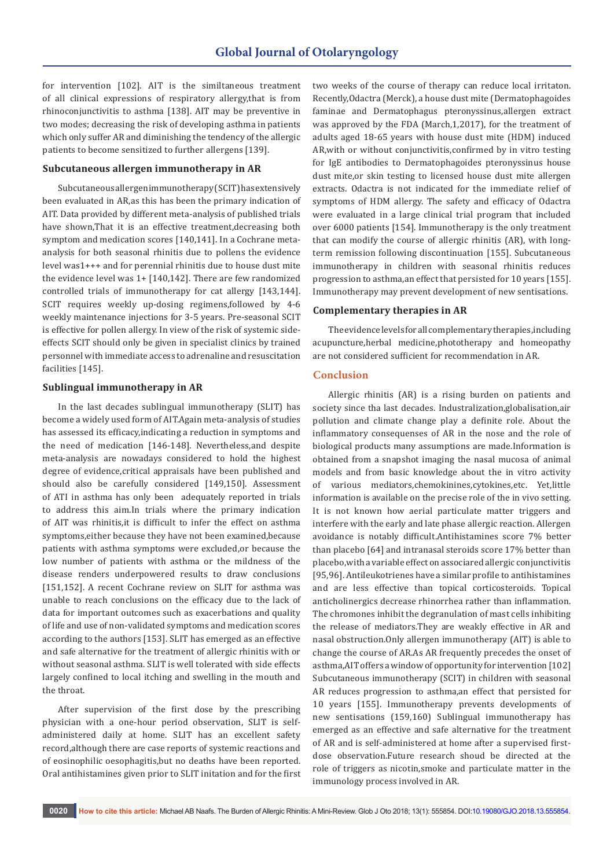for intervention [102]. AIT is the similtaneous treatment of all clinical expressions of respiratory allergy,that is from rhinoconjunctivitis to asthma [138]. AIT may be preventive in two modes; decreasing the risk of developing asthma in patients which only suffer AR and diminishing the tendency of the allergic patients to become sensitized to further allergens [139].

## **Subcutaneous allergen immunotherapy in AR**

Subcutaneous allergen immunotherapy (SCIT) has extensively been evaluated in AR,as this has been the primary indication of AIT. Data provided by different meta-analysis of published trials have shown,That it is an effective treatment,decreasing both symptom and medication scores [140,141]. In a Cochrane metaanalysis for both seasonal rhinitis due to pollens the evidence level was1+++ and for perennial rhinitis due to house dust mite the evidence level was 1+ [140,142]. There are few randomized controlled trials of immunotherapy for cat allergy [143,144]. SCIT requires weekly up-dosing regimens,followed by 4-6 weekly maintenance injections for 3-5 years. Pre-seasonal SCIT is effective for pollen allergy. In view of the risk of systemic sideeffects SCIT should only be given in specialist clinics by trained personnel with immediate access to adrenaline and resuscitation facilities [145].

## **Sublingual immunotherapy in AR**

In the last decades sublingual immunotherapy (SLIT) has become a widely used form of AIT.Again meta-analysis of studies has assessed its efficacy,indicating a reduction in symptoms and the need of medication [146-148]. Nevertheless,and despite meta-analysis are nowadays considered to hold the highest degree of evidence,critical appraisals have been published and should also be carefully considered [149,150]. Assessment of ATI in asthma has only been adequately reported in trials to address this aim.In trials where the primary indication of AIT was rhinitis,it is difficult to infer the effect on asthma symptoms,either because they have not been examined,because patients with asthma symptoms were excluded,or because the low number of patients with asthma or the mildness of the disease renders underpowered results to draw conclusions [151,152]. A recent Cochrane review on SLIT for asthma was unable to reach conclusions on the efficacy due to the lack of data for important outcomes such as exacerbations and quality of life and use of non-validated symptoms and medication scores according to the authors [153]. SLIT has emerged as an effective and safe alternative for the treatment of allergic rhinitis with or without seasonal asthma. SLIT is well tolerated with side effects largely confined to local itching and swelling in the mouth and the throat.

After supervision of the first dose by the prescribing physician with a one-hour period observation, SLIT is selfadministered daily at home. SLIT has an excellent safety record,although there are case reports of systemic reactions and of eosinophilic oesophagitis,but no deaths have been reported. Oral antihistamines given prior to SLIT initation and for the first two weeks of the course of therapy can reduce local irritaton. Recently,Odactra (Merck), a house dust mite (Dermatophagoides faminae and Dermatophagus pteronyssinus,allergen extract was approved by the FDA (March,1,2017), for the treatment of adults aged 18-65 years with house dust mite (HDM) induced AR,with or without conjunctivitis,confirmed by in vitro testing for IgE antibodies to Dermatophagoides pteronyssinus house dust mite,or skin testing to licensed house dust mite allergen extracts. Odactra is not indicated for the immediate relief of symptoms of HDM allergy. The safety and efficacy of Odactra were evaluated in a large clinical trial program that included over 6000 patients [154]. Immunotherapy is the only treatment that can modify the course of allergic rhinitis (AR), with longterm remission following discontinuation [155]. Subcutaneous immunotherapy in children with seasonal rhinitis reduces progression to asthma,an effect that persisted for 10 years [155]. Immunotherapy may prevent development of new sentisations.

## **Complementary therapies in AR**

The evidence levels for all complementary therapies,including acupuncture,herbal medicine,phototherapy and homeopathy are not considered sufficient for recommendation in AR.

#### **Conclusion**

Allergic rhinitis (AR) is a rising burden on patients and society since tha last decades. Industralization,globalisation,air pollution and climate change play a definite role. About the inflammatory consequenses of AR in the nose and the role of biological products many assumptions are made.Information is obtained from a snapshot imaging the nasal mucosa of animal models and from basic knowledge about the in vitro activity of various mediators,chemokinines,cytokines,etc. Yet,little information is available on the precise role of the in vivo setting. It is not known how aerial particulate matter triggers and interfere with the early and late phase allergic reaction. Allergen avoidance is notably difficult.Antihistamines score 7% better than placebo [64] and intranasal steroids score 17% better than placebo,with a variable effect on associared allergic conjunctivitis [95,96]. Antileukotrienes have a similar profile to antihistamines and are less effective than topical corticosteroids. Topical anticholinergics decrease rhinorrhea rather than inflammation. The chromones inhibit the degranulation of mast cells inhibiting the release of mediators.They are weakly effective in AR and nasal obstruction.Only allergen immunotherapy (AIT) is able to change the course of AR.As AR frequently precedes the onset of asthma,AIT offers a window of opportunity for intervention [102] Subcutaneous immunotherapy (SCIT) in children with seasonal AR reduces progression to asthma,an effect that persisted for 10 years [155]. Immunotherapy prevents developments of new sentisations (159,160) Sublingual immunotherapy has emerged as an effective and safe alternative for the treatment of AR and is self-administered at home after a supervised firstdose observation.Future research shoud be directed at the role of triggers as nicotin,smoke and particulate matter in the immunology process involved in AR.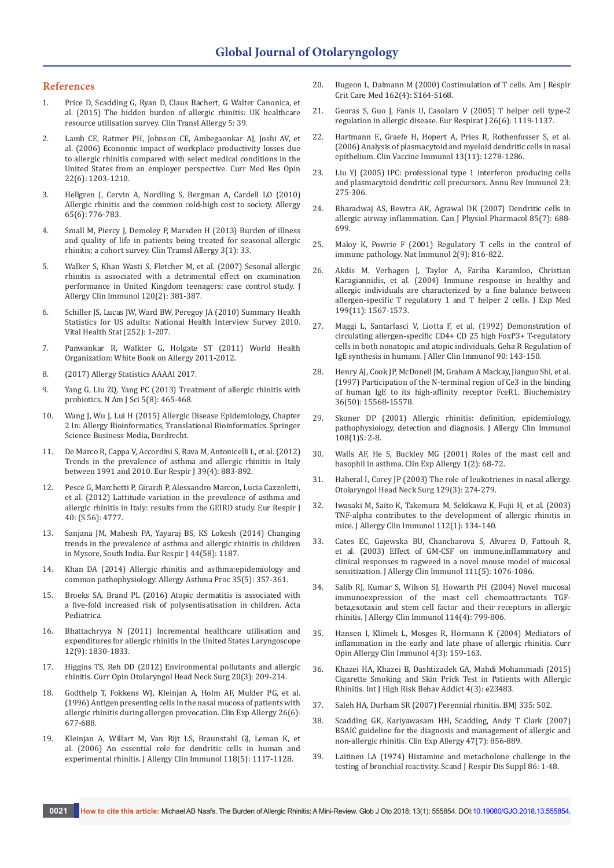#### **References**

- 1. [Price D, Scadding G, Ryan D, Claus Bachert, G Walter Canonica, et](https://ctajournal.biomedcentral.com/articles/10.1186/s13601-015-0083-6)  [al. \(2015\) The hidden burden of allergic rhinitis: UK healthcare](https://ctajournal.biomedcentral.com/articles/10.1186/s13601-015-0083-6)  [resource utilisation survey. Clin Transl Allergy 5: 39.](https://ctajournal.biomedcentral.com/articles/10.1186/s13601-015-0083-6)
- 2. [Lamb CE, Ratmer PH, Johnson CE, Ambegaonkar AJ, Joshi AV, et](https://www.ncbi.nlm.nih.gov/pubmed/16846553)  [al. \(2006\) Economic impact of workplace productivity losses due](https://www.ncbi.nlm.nih.gov/pubmed/16846553)  [to allergic rhinitis compared with select medical conditions in the](https://www.ncbi.nlm.nih.gov/pubmed/16846553)  [United States from an employer perspective. Curr Med Res Opin](https://www.ncbi.nlm.nih.gov/pubmed/16846553)  [22\(6\): 1203-1210.](https://www.ncbi.nlm.nih.gov/pubmed/16846553)
- 3. [Hellgren J, Cervin A, Nordling S, Bergman A, Cardell LO \(2010\)](https://www.ncbi.nlm.nih.gov/pubmed/19958315)  [Allergic rhinitis and the common cold-high cost to society. Allergy](https://www.ncbi.nlm.nih.gov/pubmed/19958315)  [65\(6\): 776-783.](https://www.ncbi.nlm.nih.gov/pubmed/19958315)
- 4. [Small M, Piercy J, Demoley P, Marsden H \(2013\) Burden of illness](https://www.ncbi.nlm.nih.gov/pubmed/24107462)  [and quality of life in patients being treated for seasonal allergic](https://www.ncbi.nlm.nih.gov/pubmed/24107462)  [rhinitis; a cohort survey. Clin Tramsl Allergy 3\(1\): 33.](https://www.ncbi.nlm.nih.gov/pubmed/24107462)
- 5. [Walker S, Khan Wasti S, Fletcher M, et al. \(2007\) Sesonal allergic](https://www.ncbi.nlm.nih.gov/pubmed/17560637)  [rhinitis is associated with a detrimental effect on examination](https://www.ncbi.nlm.nih.gov/pubmed/17560637)  [performance in United Kingdom teenagers: case control study. J](https://www.ncbi.nlm.nih.gov/pubmed/17560637)  [Allergy Clin Immunol 120\(2\): 381-387.](https://www.ncbi.nlm.nih.gov/pubmed/17560637)
- 6. [Schiller JS, Lucas JW, Ward BW, Peregoy JA \(2010\) Summary Health](https://www.ncbi.nlm.nih.gov/pubmed/22834228)  [Statistics for US adults: National Health Interview Survey 2010.](https://www.ncbi.nlm.nih.gov/pubmed/22834228)  [Vital Health Stat \(252\): 1-207.](https://www.ncbi.nlm.nih.gov/pubmed/22834228)
- 7. [Panwankar R, Walkter G, Holgate ST \(2011\) World Health](http://www.worldallergy.org/UserFiles/file/WAO-White-Book-on-Allergy_web.pdf)  [Organization: White Book on Allergy 2011-2012.](http://www.worldallergy.org/UserFiles/file/WAO-White-Book-on-Allergy_web.pdf)
- 8. [\(2017\) Allergy Statistics AAAAI 2017.](https://www.google.co.in/search?q=http%2F%2Fwww.aaaai.org%2Fabout-aaaai%2Fnewsroom%2Fallergy.statistics&ie=utf-8&oe=utf-8&client=firefox-b-ab&gfe_rd=cr&dcr=0&ei=tPteWuvQKvCG8QeD3aKwDg)
- 9. [Yang G, Liu ZQ, Yang PC \(2013\) Treatment of allergic rhinitis with](https://www.ncbi.nlm.nih.gov/pmc/articles/PMC3784923/)  [probiotics. N Am J Sci 5\(8\): 465-468.](https://www.ncbi.nlm.nih.gov/pmc/articles/PMC3784923/)
- 10. Wang J, Wu J, Lui H (2015) Allergic Disease Epidemiology, Chapter 2 In: Allergy Bioinformatics, Translational Bioinformatics. Springer Science Business Media, Dordrecht.
- 11. [De Marco R, Cappa V, Accordini S, Rava M, Antonicelli L, et al. \(2012\)](https://www.ncbi.nlm.nih.gov/pubmed/22005911)  [Trends in the prevalence of asthma and allergic rhinitis in Italy](https://www.ncbi.nlm.nih.gov/pubmed/22005911)  [between 1991 and 2010. Eur Respir J 39\(4\): 883-892.](https://www.ncbi.nlm.nih.gov/pubmed/22005911)
- 12. [Pesce G, Marchetti P, Girardi P, Alessandro Marcon, Lucia Cazzoletti,](http://erj.ersjournals.com/content/40/Suppl_56/P4777)  [et al. \(2012\) Lattitude variation in the prevalence of asthma and](http://erj.ersjournals.com/content/40/Suppl_56/P4777)  [allergic rhinitis in Italy: results from the GEIRD study. Eur Respir J](http://erj.ersjournals.com/content/40/Suppl_56/P4777)  [40: \(S 56\): 4777.](http://erj.ersjournals.com/content/40/Suppl_56/P4777)
- 13. [Sanjana JM, Mahesh PA, Yayaraj BS, KS Lokesh \(2014\) Changing](http://erj.ersjournals.com/content/44/Suppl_58/P1187)  [trends in the prevalence of asthma and allergic rhinitis in children](http://erj.ersjournals.com/content/44/Suppl_58/P1187)  [in Mysore, South India. Eur Respir J 44\(58\): 1187.](http://erj.ersjournals.com/content/44/Suppl_58/P1187)
- 14. [Khan DA \(2014\) Allergic rhinitis and asthma:epidemiology and](https://www.ncbi.nlm.nih.gov/pubmed/25295802)  [common pathophysiology. Allergy Asthma Proc 35\(5\): 357-361.](https://www.ncbi.nlm.nih.gov/pubmed/25295802)
- 15. Broeks SA, Brand PL (2016) Atopic dermatitis is associated with a five-fold increased risk of polysentisatisation in children. Acta Pediatrica.
- 16. [Bhattachryya N \(2011\) Incremental healthcare utilisation and](https://www.ncbi.nlm.nih.gov/pubmed/21997726)  [expenditures for allergic rhinitis in the United States Laryngoscope](https://www.ncbi.nlm.nih.gov/pubmed/21997726)  [12\(9\): 1830-1833.](https://www.ncbi.nlm.nih.gov/pubmed/21997726)
- 17. [Higgins TS, Reh DD \(2012\) Environmental pollutants and allergic](https://www.ncbi.nlm.nih.gov/pubmed/22487789)  [rhinitis. Curr Opin Otolaryngol Head Neck Surg 20\(3\): 209-214.](https://www.ncbi.nlm.nih.gov/pubmed/22487789)
- 18. [Godthelp T, Fokkens WJ, Kleinjan A, Holm AF, Mulder PG, et al.](https://www.ncbi.nlm.nih.gov/pubmed/8809425)  [\(1996\) Antigen presenting cells in the nasal mucosa of patients with](https://www.ncbi.nlm.nih.gov/pubmed/8809425)  [allergic rhinitis during allergen provocation. Clin Exp Allergy 26\(6\):](https://www.ncbi.nlm.nih.gov/pubmed/8809425)  [677-688.](https://www.ncbi.nlm.nih.gov/pubmed/8809425)
- 19. [Kleinjan A, Willart M, Van Rijt LS, Braunstahl GJ, Leman K, et](https://www.ncbi.nlm.nih.gov/pubmed/17088138)  [al. \(2006\) An essential role for dendritic cells in human and](https://www.ncbi.nlm.nih.gov/pubmed/17088138)  [experimental rhinitis. J Allergy Clin Immunol 118\(5\): 1117-1128.](https://www.ncbi.nlm.nih.gov/pubmed/17088138)
- 20. [Bugeon L, Dalmann M \(2000\) Costimulation of T cells. Am J Respir](https://www.ncbi.nlm.nih.gov/pubmed/11029388)  [Crit Care Med 162\(4\): S164-S168.](https://www.ncbi.nlm.nih.gov/pubmed/11029388)
- 21. [Georas S, Guo J, Fanis U, Casolaro V \(2005\) T helper cell type-2](https://www.ncbi.nlm.nih.gov/pubmed/16319345)  [regulation in allergic disease. Eur Respirat J 26\(6\): 1119-1137.](https://www.ncbi.nlm.nih.gov/pubmed/16319345)
- 22. [Hartmann E, Graefe H, Hopert A, Pries R, Rothenfusser S, et al.](https://www.ncbi.nlm.nih.gov/pubmed/16928885)  [\(2006\) Analysis of plasmacytoid and myeloid dendritic cells in nasal](https://www.ncbi.nlm.nih.gov/pubmed/16928885)  [epithelium. Clin Vaccine Immunol 13\(11\): 1278-1286.](https://www.ncbi.nlm.nih.gov/pubmed/16928885)
- 23. [Liu YJ \(2005\) IPC: professional type 1 interferon producing cells](https://www.ncbi.nlm.nih.gov/pubmed/15771572)  [and plasmacytoid dendritic cell precursors. Annu Rev Immunol 23:](https://www.ncbi.nlm.nih.gov/pubmed/15771572)  [275-306.](https://www.ncbi.nlm.nih.gov/pubmed/15771572)
- 24. [Bharadwaj AS, Bewtra AK, Agrawal DK \(2007\) Dendritic cells in](https://www.ncbi.nlm.nih.gov/pubmed/17823633)  [allergic airway inflammation. Can J Physiol Pharmacol 85\(7\): 688-](https://www.ncbi.nlm.nih.gov/pubmed/17823633) [699.](https://www.ncbi.nlm.nih.gov/pubmed/17823633)
- 25. [Maloy K, Powrie F \(2001\) Regulatory T cells in the control of](https://www.ncbi.nlm.nih.gov/pubmed/11526392)  [immune pathology. Nat Immunol 2\(9\): 816-822.](https://www.ncbi.nlm.nih.gov/pubmed/11526392)
- 26. [Akdis M, Verhagen J, Taylor A, Fariba Karamloo, Christian](https://www.ncbi.nlm.nih.gov/pmc/articles/PMC2211782/)  [Karagiannidis, et al. \(2004\) Immune response in healthy and](https://www.ncbi.nlm.nih.gov/pmc/articles/PMC2211782/)  [allergic individuals are characterized by a fine balance between](https://www.ncbi.nlm.nih.gov/pmc/articles/PMC2211782/)  [allergen-specific T regulatory 1 and T helper 2 cells. J Exp Med](https://www.ncbi.nlm.nih.gov/pmc/articles/PMC2211782/)  [199\(11\): 1567-1573.](https://www.ncbi.nlm.nih.gov/pmc/articles/PMC2211782/)
- 27. Maggi L, Santarlasci V, Liotta F, et al. (1992) Demonstration of circulating allergen-specific CD4+ CD 25 high FoxP3+ T-regulatory cells in both nonatopic and atopic individuals. Geha R Regulation of IgE synthesis in humans. J Aller Clin Immunol 90: 143-150.
- 28. [Henry AJ, Cook JP, McDonell JM, Graham A Mackay, Jianguo Shi, et al.](http://pubs.acs.org/doi/abs/10.1021/bi971299%2B)  [\(1997\) Participation of the N-terminal region of Ce3 in the binding](http://pubs.acs.org/doi/abs/10.1021/bi971299%2B)  [of human IgE to its high-affinity receptor FceR1. Biochemistry](http://pubs.acs.org/doi/abs/10.1021/bi971299%2B)  [36\(50\): 15568-15578.](http://pubs.acs.org/doi/abs/10.1021/bi971299%2B)
- 29. [Skoner DP \(2001\) Allergic rhinitis: definition, epidemiology,](https://www.ncbi.nlm.nih.gov/pubmed/11449200)  [pathophysiology, detection and diagnosis. J Allergy Clin Immunol](https://www.ncbi.nlm.nih.gov/pubmed/11449200)  [108\(1\)S: 2-8.](https://www.ncbi.nlm.nih.gov/pubmed/11449200)
- 30. [Walls AF, He S, Buckley MG \(2001\) Roles of the mast cell and](http://onlinelibrary.wiley.com/doi/10.1046/j.1472-9725.2001.00009.x/full)  [basophil in asthma. Clin Exp Allergy 1\(2\): 68-72.](http://onlinelibrary.wiley.com/doi/10.1046/j.1472-9725.2001.00009.x/full)
- 31. [Haberal I, Corey JP \(2003\) The role of leukotrienes in nasal allergy.](https://www.ncbi.nlm.nih.gov/pubmed/12958580)  [Otolaryngol Head Neck Surg 129\(3\): 274-279.](https://www.ncbi.nlm.nih.gov/pubmed/12958580)
- 32. [Iwasaki M, Saito K, Takemura M, Sekikawa K, Fujii H, et al. \(2003\)](https://www.ncbi.nlm.nih.gov/pubmed/12847490)  [TNF-alpha contributes to the development of allergic rhinitis in](https://www.ncbi.nlm.nih.gov/pubmed/12847490)  [mice. J Allergy Clin Immunol 112\(1\): 134-140.](https://www.ncbi.nlm.nih.gov/pubmed/12847490)
- 33. [Cates EC, Gajewska BU, Chancharova S, Alvarez D, Fattouh R,](https://www.ncbi.nlm.nih.gov/pubmed/12743573)  [et al. \(2003\) Effect of GM-CSF on immune,inflammatory and](https://www.ncbi.nlm.nih.gov/pubmed/12743573)  [clinical responses to ragweed in a novel mouse model of mucosal](https://www.ncbi.nlm.nih.gov/pubmed/12743573)  [sensitization. J Allergy Clin Immunol 111\(5\): 1076-1086.](https://www.ncbi.nlm.nih.gov/pubmed/12743573)
- 34. [Salib RJ, Kumar S, Wilson SJ, Howarth PH \(2004\) Novel mucosal](http://europepmc.org/abstract/med/15480318)  [immunoexpression of the mast cell chemoattractants TGF](http://europepmc.org/abstract/med/15480318)[beta,exotaxin and stem cell factor and their receptors in allergic](http://europepmc.org/abstract/med/15480318)  [rhinitis. J Allergy Clin Immunol 114\(4\): 799-806.](http://europepmc.org/abstract/med/15480318)
- 35. [Hansen I, Klimek L, Mosges R, Hörmann K \(2004\) Mediators of](https://www.ncbi.nlm.nih.gov/pubmed/15126935)  [inflammation in the early and late phase of allergic rhinitis. Curr](https://www.ncbi.nlm.nih.gov/pubmed/15126935)  [Opin Allergy Clin Immunol 4\(3\): 159-163.](https://www.ncbi.nlm.nih.gov/pubmed/15126935)
- 36. [Khazei HA, Khazei B, Dashtizadek GA, Mahdi Mohammadi \(2015\)](https://www.ncbi.nlm.nih.gov/pmc/articles/PMC4609504/)  [Cigarette Smoking and Skin Prick Test in Patients with Allergic](https://www.ncbi.nlm.nih.gov/pmc/articles/PMC4609504/)  [Rhinitis. Int J High Risk Behav Addict 4\(3\): e23483.](https://www.ncbi.nlm.nih.gov/pmc/articles/PMC4609504/)
- 37. [Saleh HA, Durham SR \(2007\) Perennial rhinitis. BMJ 335: 502.](http://www.bmj.com/content/335/7618/502)
- 38. [Scadding GK, Kariyawasam HH, Scadding, Andy T Clark \(2007\)](https://www.researchgate.net/publication/318289419_BSACI_guideline_for_the_diagnosis_and_management_of_allergic_and_non-allergic_rhinitis_Revised_Edition_2017_First_edition_2007)  [BSAIC guideline for the diagnosis and management of allergic and](https://www.researchgate.net/publication/318289419_BSACI_guideline_for_the_diagnosis_and_management_of_allergic_and_non-allergic_rhinitis_Revised_Edition_2017_First_edition_2007)  [non-allergic rhinitis. Clin Exp Allergy 47\(7\): 856-889.](https://www.researchgate.net/publication/318289419_BSACI_guideline_for_the_diagnosis_and_management_of_allergic_and_non-allergic_rhinitis_Revised_Edition_2017_First_edition_2007)
- 39. [Laitinen LA \(1974\) Histamine and metacholone challenge in the](https://www.ncbi.nlm.nih.gov/pubmed/4533157)  [testing of bronchial reactivity. Scand J Respir Dis Suppl 86: 1-48.](https://www.ncbi.nlm.nih.gov/pubmed/4533157)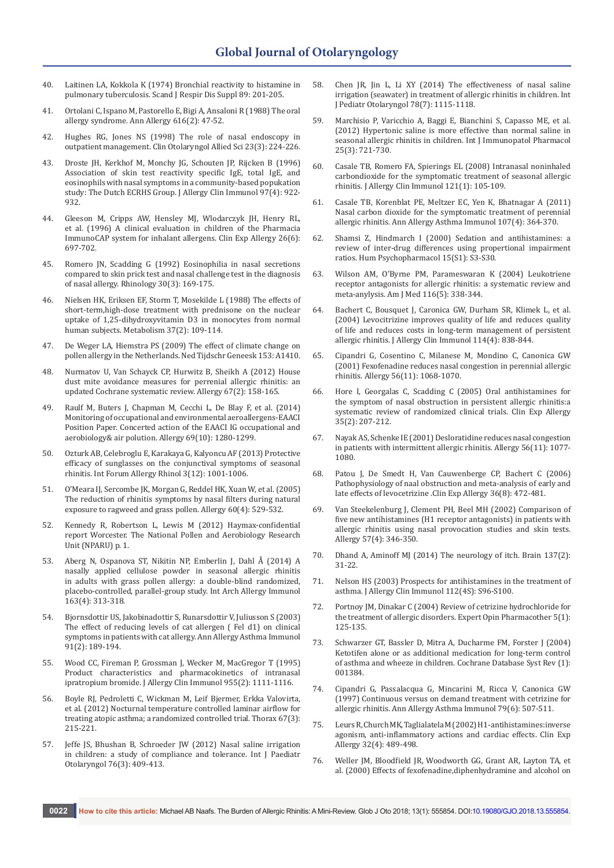- 40. [Laitinen LA, Kokkola K \(1974\) Bronchial reactivity to histamine in](https://www.ncbi.nlm.nih.gov/pubmed/4528453)  [pulmonary tuberculosis. Scand J Respir Dis Suppl 89: 201-205.](https://www.ncbi.nlm.nih.gov/pubmed/4528453)
- 41. [Ortolani C, Ispano M, Pastorello E, Bigi A, Ansaloni R \(1988\) The oral](https://www.ncbi.nlm.nih.gov/pubmed/3264668)  [allergy syndrome. Ann Allergy 616\(2\): 47-52.](https://www.ncbi.nlm.nih.gov/pubmed/3264668)
- 42. [Hughes RG, Jones NS \(1998\) The role of nasal endoscopy in](https://www.ncbi.nlm.nih.gov/pubmed/9669070)  [outpatient management. Clin Otolaryngol Allied Sci 23\(3\): 224-226.](https://www.ncbi.nlm.nih.gov/pubmed/9669070)
- 43. [Droste JH, Kerkhof M, Monchy JG, Schouten JP, Rijcken B \(1996\)](https://www.ncbi.nlm.nih.gov/pubmed/8655887)  [Association of skin test reactivity specific IgE, total IgE, and](https://www.ncbi.nlm.nih.gov/pubmed/8655887)  [eosinophils with nasal symptoms in a community-based popukation](https://www.ncbi.nlm.nih.gov/pubmed/8655887)  [study: The Dutch ECRHS Group. J Allergy Clin Immunol 97\(4\): 922-](https://www.ncbi.nlm.nih.gov/pubmed/8655887) [932.](https://www.ncbi.nlm.nih.gov/pubmed/8655887)
- 44. [Gleeson M, Cripps AW, Hensley MJ, Wlodarczyk JH, Henry RL,](https://www.ncbi.nlm.nih.gov/pubmed/8809427)  [et al. \(1996\) A clinical evaluation in children of the Pharmacia](https://www.ncbi.nlm.nih.gov/pubmed/8809427)  [ImmunoCAP system for inhalant allergens. Clin Exp Allergy 26\(6\):](https://www.ncbi.nlm.nih.gov/pubmed/8809427)  [697-702.](https://www.ncbi.nlm.nih.gov/pubmed/8809427)
- 45. [Romero JN, Scadding G \(1992\) Eosinophilia in nasal secretions](https://www.ncbi.nlm.nih.gov/pubmed/1448673)  [compared to skin prick test and nasal challenge test in the diagnosis](https://www.ncbi.nlm.nih.gov/pubmed/1448673)  [of nasal allergy. Rhinology 30\(3\): 169-175.](https://www.ncbi.nlm.nih.gov/pubmed/1448673)
- 46. [Nielsen HK, Eriksen EF, Storm T, Mosekilde L \(1988\) The effects of](https://www.ncbi.nlm.nih.gov/pubmed/2828820)  [short-term,high-dose treatment with prednisone on the nuclear](https://www.ncbi.nlm.nih.gov/pubmed/2828820)  [uptake of 1,25-dihydroxyvitamin D3 in monocytes from normal](https://www.ncbi.nlm.nih.gov/pubmed/2828820)  [human subjects. Metabolism 37\(2\): 109-114.](https://www.ncbi.nlm.nih.gov/pubmed/2828820)
- 47. [De Weger LA, Hiemstra PS \(2009\) The effect of climate change on](https://www.ncbi.nlm.nih.gov/pubmed/20025786)  [pollen allergy in the Netherlands. Ned Tijdschr Geneesk 153: A1410.](https://www.ncbi.nlm.nih.gov/pubmed/20025786)
- 48. [Nurmatov U, Van Schayck CP, Hurwitz B, Sheikh A \(2012\) House](https://www.ncbi.nlm.nih.gov/pubmed/22103686)  [dust mite avoidance measures for perrenial allergic rhinitis: an](https://www.ncbi.nlm.nih.gov/pubmed/22103686)  [updated Cochrane systematic review. Allergy 67\(2\): 158-165.](https://www.ncbi.nlm.nih.gov/pubmed/22103686)
- 49. [Raulf M, Buters J, Chapman M, Cecchi L, De Blay F, et al. \(2014\)](https://www.ncbi.nlm.nih.gov/pubmed/24894737)  [Monitoring of occupational and environmental aeroallergens-EAACI](https://www.ncbi.nlm.nih.gov/pubmed/24894737)  [Position Paper. Concerted action of the EAACI IG occupational and](https://www.ncbi.nlm.nih.gov/pubmed/24894737)  [aerobiology& air polution. Allergy 69\(10\): 1280-1299.](https://www.ncbi.nlm.nih.gov/pubmed/24894737)
- 50. [Ozturk AB, Celebroglu E, Karakaya G, Kalyoncu AF \(2013\) Protective](https://www.ncbi.nlm.nih.gov/pubmed/24039213)  [efficacy of sunglasses on the conjunctival symptoms of seasonal](https://www.ncbi.nlm.nih.gov/pubmed/24039213)  [rhinitis. Int Forum Allergy Rhinol 3\(12\): 1001-1006.](https://www.ncbi.nlm.nih.gov/pubmed/24039213)
- 51. [O'Meara IJ, Sercombe JK, Morgan G, Reddel HK, Xuan W, et al. \(2005\)](https://www.ncbi.nlm.nih.gov/pubmed/15727589)  [The reduction of rhinitis symptoms by nasal filters during natural](https://www.ncbi.nlm.nih.gov/pubmed/15727589)  [exposure to ragweed and grass pollen. Allergy 60\(4\): 529-532.](https://www.ncbi.nlm.nih.gov/pubmed/15727589)
- 52. Kennedy R, Robertson L, Lewis M (2012) Haymax-confidential report Worcester. The National Pollen and Aerobiology Research Unit (NPARU) p. 1.
- 53. [Aberg N, Ospanova ST, Nikitin NP, Emberlin J, Dahl Å \(2014\) A](https://www.ncbi.nlm.nih.gov/pubmed/24852424)  [nasally applied cellulose powder in seasonal allergic rhinitis](https://www.ncbi.nlm.nih.gov/pubmed/24852424)  [in adults with grass pollen allergy: a double-blind randomized,](https://www.ncbi.nlm.nih.gov/pubmed/24852424)  [placebo-controlled, parallel-group study. Int Arch Allergy Immunol](https://www.ncbi.nlm.nih.gov/pubmed/24852424)  [163\(4\): 313-318.](https://www.ncbi.nlm.nih.gov/pubmed/24852424)
- 54. [Bjornsdottir US, Jakobinadottir S, Runarsdottir V, Juliusson S \(2003\)](https://www.ncbi.nlm.nih.gov/pubmed/12952114)  [The effect of reducing levels of cat allergen \( Fel d1\) on clinical](https://www.ncbi.nlm.nih.gov/pubmed/12952114)  [symptoms in patients with cat allergy. Ann Allergy Asthma Immunol](https://www.ncbi.nlm.nih.gov/pubmed/12952114)  [91\(2\): 189-194.](https://www.ncbi.nlm.nih.gov/pubmed/12952114)
- 55. [Wood CC, Fireman P, Grossman J, Wecker M, MacGregor T \(1995\)](https://www.ncbi.nlm.nih.gov/pubmed/7751527)  [Product characteristics and pharmacokinetics of intranasal](https://www.ncbi.nlm.nih.gov/pubmed/7751527)  [ipratropium bromide. J Allergy Clin Immunol 955\(2\): 1111-1116.](https://www.ncbi.nlm.nih.gov/pubmed/7751527)
- 56. [Boyle RJ, Pedroletti C, Wickman M, Leif Bjermer, Erkka Valovirta,](http://thorax.bmj.com/content/67/3/215)  [et al. \(2012\) Nocturnal temperature controlled laminar airflow for](http://thorax.bmj.com/content/67/3/215)  [treating atopic asthma; a randomized controlled trial. Thorax 67\(3\):](http://thorax.bmj.com/content/67/3/215)  [215-221.](http://thorax.bmj.com/content/67/3/215)
- 57. [Jeffe JS, Bhushan B, Schroeder JW \(2012\) Nasal saline irrigation](https://www.ncbi.nlm.nih.gov/pubmed/22266167)  [in children: a study of compliance and tolerance. Int J Paediatr](https://www.ncbi.nlm.nih.gov/pubmed/22266167)  [Otolaryngol 76\(3\): 409-413.](https://www.ncbi.nlm.nih.gov/pubmed/22266167)
- 58. [Chen JR, Jin L, Li XY \(2014\) The effectiveness of nasal saline](https://www.ncbi.nlm.nih.gov/pubmed/24809770)  [irrigation \(seawater\) in treatment of allergic rhinitis in children. Int](https://www.ncbi.nlm.nih.gov/pubmed/24809770)  [J Pediatr Otolaryngol 78\(7\): 1115-1118.](https://www.ncbi.nlm.nih.gov/pubmed/24809770)
- 59. [Marchisio P, Varicchio A, Baggi E, Bianchini S, Capasso ME, et al.](https://www.ncbi.nlm.nih.gov/pubmed/23058022)  [\(2012\) Hypertonic saline is more effective than normal saline in](https://www.ncbi.nlm.nih.gov/pubmed/23058022)  [seasonal allergic rhinitis in children. Int J Immunopatol Pharmacol](https://www.ncbi.nlm.nih.gov/pubmed/23058022)  [25\(3\): 721-730.](https://www.ncbi.nlm.nih.gov/pubmed/23058022)
- 60. [Casale TB, Romero FA, Spierings EL \(2008\) Intranasal noninhaled](https://www.ncbi.nlm.nih.gov/pubmed/18028997)  [carbondioxide for the symptomatic treatment of seasonal allergic](https://www.ncbi.nlm.nih.gov/pubmed/18028997)  [rhinitis. J Allergy Clin Immunol 121\(1\): 105-109.](https://www.ncbi.nlm.nih.gov/pubmed/18028997)
- 61. [Casale TB, Korenblat PE, Meltzer EC, Yen K, Bhatnagar A \(2011\)](https://www.ncbi.nlm.nih.gov/pubmed/21962098)  [Nasal carbon dioxide for the symptomatic treatment of perennial](https://www.ncbi.nlm.nih.gov/pubmed/21962098)  [allergic rhinitis. Ann Allergy Asthma Immunol 107\(4\): 364-370.](https://www.ncbi.nlm.nih.gov/pubmed/21962098)
- 62. [Shamsi Z, Hindmarch I \(2000\) Sedation and antihistamines: a](https://www.ncbi.nlm.nih.gov/pubmed/12404608)  [review of inter-drug differences using propertional impairment](https://www.ncbi.nlm.nih.gov/pubmed/12404608)  [ratios. Hum Psychopharmacol 15\(S1\): S3-S30.](https://www.ncbi.nlm.nih.gov/pubmed/12404608)
- 63. [Wilson AM, O'Byrne PM, Parameswaran K \(2004\) Leukotriene](https://www.ncbi.nlm.nih.gov/pubmed/14984820)  [receptor antagonists for allergic rhinitis: a systematic review and](https://www.ncbi.nlm.nih.gov/pubmed/14984820)  [meta-anylysis. Am J Med 116\(5\): 338-344.](https://www.ncbi.nlm.nih.gov/pubmed/14984820)
- 64. [Bachert C, Bousquet J, Caronica GW, Durham SR, Klimek L, et al.](https://www.ncbi.nlm.nih.gov/pubmed/15480324)  [\(2004\) Levocitrizine improves quality of life and reduces quality](https://www.ncbi.nlm.nih.gov/pubmed/15480324)  [of life and reduces costs in long-term management of persistent](https://www.ncbi.nlm.nih.gov/pubmed/15480324)  [allergic rhinitis. J Allergy Clin Immunol 114\(4\): 838-844.](https://www.ncbi.nlm.nih.gov/pubmed/15480324)
- 65. [Cipandri G, Cosentino C, Milanese M, Mondino C, Canonica GW](https://www.ncbi.nlm.nih.gov/pubmed/11703220)  [\(2001\) Fexofenadine reduces nasal congestion in perennial allergic](https://www.ncbi.nlm.nih.gov/pubmed/11703220)  [rhinitis. Allergy 56\(11\): 1068-1070.](https://www.ncbi.nlm.nih.gov/pubmed/11703220)
- 66. [Hore I, Georgalas C, Scadding C \(2005\) Oral antihistamines for](https://www.ncbi.nlm.nih.gov/pubmed/15725193)  [the symptom of nasal obstruction in persistent allergic rhinitis:a](https://www.ncbi.nlm.nih.gov/pubmed/15725193)  [systematic review of randomized clinical trials. Clin Exp Allergy](https://www.ncbi.nlm.nih.gov/pubmed/15725193)  [35\(2\): 207-212.](https://www.ncbi.nlm.nih.gov/pubmed/15725193)
- 67. [Nayak AS, Schenke IE \(2001\) Desloratidine reduces nasal congestion](https://www.ncbi.nlm.nih.gov/pubmed/11703222)  [in patients with intermittent allergic rhinitis. Allergy 56\(11\): 1077-](https://www.ncbi.nlm.nih.gov/pubmed/11703222) [1080.](https://www.ncbi.nlm.nih.gov/pubmed/11703222)
- 68. [Patou J, De Smedt H, Van Cauwenberge CP, Bachert C \(2006\)](https://www.ncbi.nlm.nih.gov/pubmed/16911353)  [Pathophysiology of naal obstruction and meta-analysis of early and](https://www.ncbi.nlm.nih.gov/pubmed/16911353)  [late effects of levocetrizine .Clin Exp Allergy 36\(8\): 472-481.](https://www.ncbi.nlm.nih.gov/pubmed/16911353)
- 69. [Van Steekelenburg J, Clement PH, Beel MH \(2002\) Comparison of](https://www.ncbi.nlm.nih.gov/pubmed/11906367)  [five new antihistamines \(H1 receptor antagonists\) in patients with](https://www.ncbi.nlm.nih.gov/pubmed/11906367)  [allergic rhinitis using nasal provocation studies and skin tests.](https://www.ncbi.nlm.nih.gov/pubmed/11906367)  [Allergy 57\(4\): 346-350.](https://www.ncbi.nlm.nih.gov/pubmed/11906367)
- 70. [Dhand A, Aminoff MJ \(2014\) The neurology of itch. Brain 137\(2\):](https://www.ncbi.nlm.nih.gov/pubmed/23794605)  [31-22.](https://www.ncbi.nlm.nih.gov/pubmed/23794605)
- 71. [Nelson HS \(2003\) Prospects for antihistamines in the treatment of](https://www.ncbi.nlm.nih.gov/pubmed/14530795)  [asthma. J Allergy Clin Immunol 112\(4S\): S96-S100.](https://www.ncbi.nlm.nih.gov/pubmed/14530795)
- 72. [Portnoy JM, Dinakar C \(2004\) Review of cetrizine hydrochloride for](https://www.ncbi.nlm.nih.gov/pubmed/14680442)  [the treatment of allergic disorders. Expert Opin Pharmacother 5\(1\):](https://www.ncbi.nlm.nih.gov/pubmed/14680442)  [125-135.](https://www.ncbi.nlm.nih.gov/pubmed/14680442)
- 73. [Schwarzer GT, Bassler D, Mitra A, Ducharme FM, Forster J \(2004\)](https://www.ncbi.nlm.nih.gov/pubmed/14973969)  [Ketotifen alone or as additional medication for long-term control](https://www.ncbi.nlm.nih.gov/pubmed/14973969)  [of asthma and wheeze in children. Cochrane Database Syst Rev \(1\):](https://www.ncbi.nlm.nih.gov/pubmed/14973969)  [001384.](https://www.ncbi.nlm.nih.gov/pubmed/14973969)
- 74. [Cipandri G, Passalacqua G, Mincarini M, Ricca V, Canonica GW](https://www.ncbi.nlm.nih.gov/pubmed/9433365)  [\(1997\) Continuous versus on demand treatment with cetrizine for](https://www.ncbi.nlm.nih.gov/pubmed/9433365)  [allergic rhinitis. Ann Allergy Asthma Immunol 79\(6\): 507-511.](https://www.ncbi.nlm.nih.gov/pubmed/9433365)
- 75. [Leurs R, Church MK, Taglialatela M \(2002\) H1-antihistamines:inverse](https://www.ncbi.nlm.nih.gov/pubmed/11972592)  [agonism, anti-inflammatory actions and cardiac effects. Clin Exp](https://www.ncbi.nlm.nih.gov/pubmed/11972592)  [Allergy 32\(4\): 489-498.](https://www.ncbi.nlm.nih.gov/pubmed/11972592)
- 76. [Weller JM, Bloodfield JR, Woodworth GG, Grant AR, Layton TA, et](https://www.ncbi.nlm.nih.gov/pubmed/10691585)  [al. \(2000\) Effects of fexofenadine,diphenhydramine and alcohol on](https://www.ncbi.nlm.nih.gov/pubmed/10691585)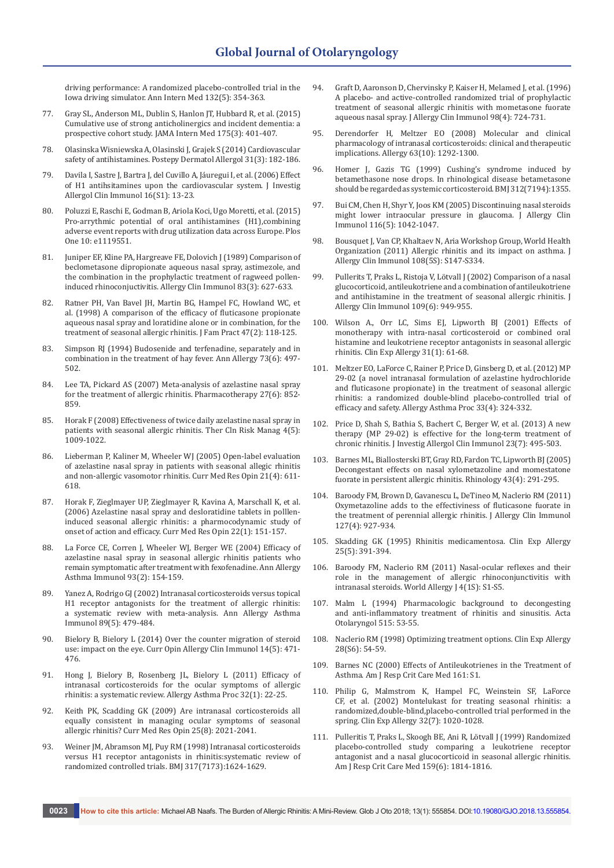[driving performance: A randomized placebo-controlled trial in the](https://www.ncbi.nlm.nih.gov/pubmed/10691585)  [Iowa driving simulator. Ann Intern Med 132\(5\): 354-363.](https://www.ncbi.nlm.nih.gov/pubmed/10691585)

- 77. [Gray SL, Anderson ML, Dublin S, Hanlon JT, Hubbard R, et al. \(2015\)](https://www.ncbi.nlm.nih.gov/pubmed/25621434)  [Cumulative use of strong anticholinergics and incident dementia: a](https://www.ncbi.nlm.nih.gov/pubmed/25621434)  [prospective cohort study. JAMA Intern Med 175\(3\): 401-407.](https://www.ncbi.nlm.nih.gov/pubmed/25621434)
- 78. [Olasinska Wisniewska A, Olasinski J, Grajek S \(2014\) Cardiovascular](https://www.ncbi.nlm.nih.gov/pmc/articles/PMC4112269/)  [safety of antihistamines. Postepy Dermatol Allergol 31\(3\): 182-186.](https://www.ncbi.nlm.nih.gov/pmc/articles/PMC4112269/)
- 79. [Davila I, Sastre J, Bartra J, del Cuvillo A, Jáuregui I, et al. \(2006\) Effect](https://www.ncbi.nlm.nih.gov/pubmed/17357373)  [of H1 antihsitamines upon the cardiovascular system. J Investig](https://www.ncbi.nlm.nih.gov/pubmed/17357373)  [Allergol Clin Immunol 16\(S1\): 13-23.](https://www.ncbi.nlm.nih.gov/pubmed/17357373)
- 80. [Poluzzi E, Raschi E, Godman B, Ariola Koci, Ugo Moretti, et al. \(2015\)](http://journals.plos.org/plosone/article/authors?id=10.1371/journal.pone.0119551)  Pro-arrythmic potential of oral antihistamines (H1), combining [adverse event reports with drug utilization data across Europe. Plos](http://journals.plos.org/plosone/article/authors?id=10.1371/journal.pone.0119551)  [One 10: e1119551.](http://journals.plos.org/plosone/article/authors?id=10.1371/journal.pone.0119551)
- 81. [Juniper EF, Kline PA, Hargreave FE, Dolovich J \(1989\) Comparison of](https://www.ncbi.nlm.nih.gov/pubmed/2494249)  [beclometasone dipropionate aqueous nasal spray, astimezole, and](https://www.ncbi.nlm.nih.gov/pubmed/2494249)  [the combination in the prophylactic treatment of ragweed pollen](https://www.ncbi.nlm.nih.gov/pubmed/2494249)[induced rhinoconjuctivitis. Allergy Clin Immunol 83\(3\): 627-633.](https://www.ncbi.nlm.nih.gov/pubmed/2494249)
- 82. [Ratner PH, Van Bavel JH, Martin BG, Hampel FC, Howland WC, et](https://www.ncbi.nlm.nih.gov/pubmed/9722799)  [al. \(1998\) A comparison of the efficacy of fluticasone propionate](https://www.ncbi.nlm.nih.gov/pubmed/9722799)  [aqueous nasal spray and loratidine alone or in combination, for the](https://www.ncbi.nlm.nih.gov/pubmed/9722799)  [treatment of seasonal allergic rhinitis. J Fam Pract 47\(2\): 118-125.](https://www.ncbi.nlm.nih.gov/pubmed/9722799)
- 83. [Simpson RJ \(1994\) Budosenide and terfenadine, separately and in](https://www.ncbi.nlm.nih.gov/pubmed/7998664)  [combination in the treatment of hay fever. Ann Allergy 73\(6\): 497-](https://www.ncbi.nlm.nih.gov/pubmed/7998664) [502.](https://www.ncbi.nlm.nih.gov/pubmed/7998664)
- 84. [Lee TA, Pickard AS \(2007\) Meta-analysis of azelastine nasal spray](https://www.ncbi.nlm.nih.gov/pubmed/17542768)  [for the treatment of allergic rhinitis. Pharmacotherapy 27\(6\): 852-](https://www.ncbi.nlm.nih.gov/pubmed/17542768) [859.](https://www.ncbi.nlm.nih.gov/pubmed/17542768)
- 85. [Horak F \(2008\) Effectiveness of twice daily azelastine nasal spray in](https://www.ncbi.nlm.nih.gov/pubmed/19209282)  [patients with seasonal allergic rhinitis. Ther Cln Risk Manag 4\(5\):](https://www.ncbi.nlm.nih.gov/pubmed/19209282)  [1009-1022.](https://www.ncbi.nlm.nih.gov/pubmed/19209282)
- 86. [Lieberman P, Kaliner M, Wheeler WJ \(2005\) Open-label evaluation](https://www.ncbi.nlm.nih.gov/pubmed/15899111)  [of azelastine nasal spray in patients with seasonal allegic rhinitis](https://www.ncbi.nlm.nih.gov/pubmed/15899111)  [and non-allergic vasomotor rhinitis. Curr Med Res Opin 21\(4\): 611-](https://www.ncbi.nlm.nih.gov/pubmed/15899111) [618.](https://www.ncbi.nlm.nih.gov/pubmed/15899111)
- 87. [Horak F, Zieglmayer UP, Zieglmayer R, Kavina A, Marschall K, et al.](https://www.ncbi.nlm.nih.gov/pubmed/16393441)  [\(2006\) Azelastine nasal spray and desloratidine tablets in polllen](https://www.ncbi.nlm.nih.gov/pubmed/16393441)[induced seasonal allergic rhinitis: a pharmocodynamic study of](https://www.ncbi.nlm.nih.gov/pubmed/16393441)  [onset of action and efficacy. Curr Med Res Opin 22\(1\): 151-157.](https://www.ncbi.nlm.nih.gov/pubmed/16393441)
- 88. [La Force CE, Corren J, Wheeler WJ, Berger WE \(2004\) Efficacy of](https://www.ncbi.nlm.nih.gov/pubmed/15328675)  [azelastine nasal spray in seasonal allergic rhinitis patients who](https://www.ncbi.nlm.nih.gov/pubmed/15328675)  [remain symptomatic after treatment with fexofenadine. Ann Allergy](https://www.ncbi.nlm.nih.gov/pubmed/15328675)  [Asthma Immunol 93\(2\): 154-159.](https://www.ncbi.nlm.nih.gov/pubmed/15328675)
- 89. [Yanez A, Rodrigo GJ \(2002\) Intranasal corticosteroids versus topical](https://www.ncbi.nlm.nih.gov/pubmed/12452206)  [H1 receptor antagonists for the treatment of allergic rhinitis:](https://www.ncbi.nlm.nih.gov/pubmed/12452206)  [a systematic review with meta-analysis. Ann Allergy Asthma](https://www.ncbi.nlm.nih.gov/pubmed/12452206)  [Immunol 89\(5\): 479-484.](https://www.ncbi.nlm.nih.gov/pubmed/12452206)
- 90. [Bielory B, Bielory L \(2014\) Over the counter migration of steroid](https://www.ncbi.nlm.nih.gov/pubmed/25102105)  [use: impact on the eye. Curr Opin Allergy Clin Immunol 14\(5\): 471-](https://www.ncbi.nlm.nih.gov/pubmed/25102105) [476.](https://www.ncbi.nlm.nih.gov/pubmed/25102105)
- 91. [Hong J, Bielory B, Rosenberg JL, Bielory L \(2011\) Efficacy of](https://www.ncbi.nlm.nih.gov/pubmed/21262095)  [intranasal corticosteroids for the ocular symptoms of allergic](https://www.ncbi.nlm.nih.gov/pubmed/21262095)  [rhinitis: a systematic review. Allergy Asthma Proc 32\(1\): 22-25.](https://www.ncbi.nlm.nih.gov/pubmed/21262095)
- 92. [Keith PK, Scadding GK \(2009\) Are intranasal corticosteroids all](https://www.ncbi.nlm.nih.gov/pubmed/19569975)  [equally consistent in managing ocular symptoms of seasonal](https://www.ncbi.nlm.nih.gov/pubmed/19569975)  [allergic rhinitis? Curr Med Res Opin 25\(8\): 2021-2041.](https://www.ncbi.nlm.nih.gov/pubmed/19569975)
- 93. [Weiner JM, Abramson MJ, Puy RM \(1998\) Intranasal corticosteroids](https://www.ncbi.nlm.nih.gov/pubmed/9848901)  [versus H1 receptor antagonists in rhinitis:systematic review of](https://www.ncbi.nlm.nih.gov/pubmed/9848901)  [randomized controlled trials. BMJ 317\(7173\):1624-1629.](https://www.ncbi.nlm.nih.gov/pubmed/9848901)
- 94. [Graft D, Aaronson D, Chervinsky P, Kaiser H, Melamed J, et al. \(1996\)](https://www.ncbi.nlm.nih.gov/pubmed/8876546)  [A placebo- and active-controlled randomized trial of prophylactic](https://www.ncbi.nlm.nih.gov/pubmed/8876546)  [treatment of seasonal allergic rhinitis with mometasone fuorate](https://www.ncbi.nlm.nih.gov/pubmed/8876546)  [aqueous nasal spray. J Allergy Clin Immunol 98\(4\): 724-731.](https://www.ncbi.nlm.nih.gov/pubmed/8876546)
- 95. [Derendorfer H, Meltzer EO \(2008\) Molecular and clinical](https://www.ncbi.nlm.nih.gov/pubmed/18782107)  [pharmacology of intranasal corticosteroids: clinical and therapeutic](https://www.ncbi.nlm.nih.gov/pubmed/18782107)  [implications. Allergy 63\(10\): 1292-1300.](https://www.ncbi.nlm.nih.gov/pubmed/18782107)
- 96. [Homer J, Gazis TG \(1999\) Cushing's syndrome induced by](https://www.ncbi.nlm.nih.gov/pmc/articles/PMC1115736/)  [betamethasone nose drops. In rhinological disease betametasone](https://www.ncbi.nlm.nih.gov/pmc/articles/PMC1115736/)  [should be regarded as systemic corticosteroid. BMJ 312\(7194\):1355.](https://www.ncbi.nlm.nih.gov/pmc/articles/PMC1115736/)
- 97. [Bui CM, Chen H, Shyr Y, Joos KM \(2005\) Discontinuing nasal steroids](https://www.ncbi.nlm.nih.gov/pubmed/16275373)  [might lower intraocular pressure in glaucoma. J Allergy Clin](https://www.ncbi.nlm.nih.gov/pubmed/16275373)  [Immunol 116\(5\): 1042-1047.](https://www.ncbi.nlm.nih.gov/pubmed/16275373)
- 98. [Bousquet J, Van CP, Khaltaev N, Aria Workshop Group, World Health](https://www.ncbi.nlm.nih.gov/pubmed/11707753)  [Organization \(2011\) Allergic rhinitis and its impact on asthma. J](https://www.ncbi.nlm.nih.gov/pubmed/11707753)  [Allergy Clin Immunol 108\(5S\): S147-S334.](https://www.ncbi.nlm.nih.gov/pubmed/11707753)
- 99. [Pullerits T, Praks L, Ristoja V, Lötvall J \(2002\) Comparison of a nasal](https://www.ncbi.nlm.nih.gov/pubmed/12063523)  [glucocorticoid, antileukotriene and a combination of antileukotriene](https://www.ncbi.nlm.nih.gov/pubmed/12063523)  [and antihistamine in the treatment of seasonal allergic rhinitis. J](https://www.ncbi.nlm.nih.gov/pubmed/12063523)  [Allergy Clin Immunol 109\(6\): 949-955.](https://www.ncbi.nlm.nih.gov/pubmed/12063523)
- 100. [Wilson A., Orr LC, Sims EJ, Lipworth BJ \(2001\) Effects of](https://www.ncbi.nlm.nih.gov/pubmed/11167952)  [monotherapy with intra-nasal corticosteroid or combined oral](https://www.ncbi.nlm.nih.gov/pubmed/11167952)  [histamine and leukotriene receptor antagonists in seasonal allergic](https://www.ncbi.nlm.nih.gov/pubmed/11167952)  [rhinitis. Clin Exp Allergy 31\(1\): 61-68.](https://www.ncbi.nlm.nih.gov/pubmed/11167952)
- 101. [Meltzer EO, LaForce C, Rainer P, Price D, Ginsberg D, et al. \(2012\) MP](https://www.ncbi.nlm.nih.gov/pubmed/22856633)  [29-02 \(a novel intranasal formulation of azelastine hydrochloride](https://www.ncbi.nlm.nih.gov/pubmed/22856633)  [and fluticasone propionate\) in the treatment of seasonal allergic](https://www.ncbi.nlm.nih.gov/pubmed/22856633)  [rhinitis: a randomized double-blind placebo-controlled trial of](https://www.ncbi.nlm.nih.gov/pubmed/22856633)  [efficacy and safety. Allergy Asthma Proc 33\(4\): 324-332.](https://www.ncbi.nlm.nih.gov/pubmed/22856633)
- 102. [Price D, Shah S, Bathia S, Bachert C, Berger W, et al. \(2013\) A new](https://www.ncbi.nlm.nih.gov/pubmed/24654314)  [therapy \(MP 29-02\) is effective for the long-term treatment of](https://www.ncbi.nlm.nih.gov/pubmed/24654314)  [chronic rhinitis. J Investig Allergol Clin Immunol 23\(7\): 495-503.](https://www.ncbi.nlm.nih.gov/pubmed/24654314)
- 103. [Barnes ML, Biallosterski BT, Gray RD, Fardon TC, Lipworth BJ \(2005\)](https://www.ncbi.nlm.nih.gov/pubmed/16405274)  [Decongestant effects on nasal xylometazoline and momestatone](https://www.ncbi.nlm.nih.gov/pubmed/16405274)  [fuorate in persistent allergic rhinitis. Rhinology 43\(4\): 291-295.](https://www.ncbi.nlm.nih.gov/pubmed/16405274)
- 104. [Baroody FM, Brown D, Gavanescu L, DeTineo M, Naclerio RM \(2011\)](https://www.ncbi.nlm.nih.gov/pubmed/21377716)  [Oxymetazoline adds to the effectiviness of fluticasone fuorate in](https://www.ncbi.nlm.nih.gov/pubmed/21377716)  [the treatment of perennial allergic rhinitis. J Allergy Clin Immunol](https://www.ncbi.nlm.nih.gov/pubmed/21377716)  [127\(4\): 927-934.](https://www.ncbi.nlm.nih.gov/pubmed/21377716)
- 105. Skadding GK (1995) Rhinitis medicamentosa. Clin Exp Allergy 25(5): 391-394.
- 106. [Baroody FM, Naclerio RM \(2011\) Nasal-ocular reflexes and their](https://www.ncbi.nlm.nih.gov/pubmed/23283068)  [role in the management of allergic rhinoconjunctivitis with](https://www.ncbi.nlm.nih.gov/pubmed/23283068)  [intranasal steroids. World Allergy J 4\(1S\): S1-S5.](https://www.ncbi.nlm.nih.gov/pubmed/23283068)
- 107. [Malm L \(1994\) Pharmacologic background to decongesting](https://www.ncbi.nlm.nih.gov/pubmed/7520660)  [and anti-inflammatory treatment of rhinitis and sinusitis. Acta](https://www.ncbi.nlm.nih.gov/pubmed/7520660)  [Otolaryngol 515: 53-55.](https://www.ncbi.nlm.nih.gov/pubmed/7520660)
- 108. [Naclerio RM \(1998\) Optimizing treatment options. Clin Exp Allergy](https://www.ncbi.nlm.nih.gov/pubmed/9988437)  [28\(S6\): 54-59.](https://www.ncbi.nlm.nih.gov/pubmed/9988437)
- 109. [Barnes NC \(2000\) Effects of Antileukotrienes in the Treatment of](http://www.atsjournals.org/doi/full/10.1164/ajrccm.161.supplement_1.ltta-15)  [Asthma. Am J Resp Crit Care Med 161: S1.](http://www.atsjournals.org/doi/full/10.1164/ajrccm.161.supplement_1.ltta-15)
- 110. [Philip G, Malmstrom K, Hampel FC, Weinstein SF, LaForce](https://www.ncbi.nlm.nih.gov/pubmed/12100048)  [CF, et al. \(2002\) Montelukast for treating seasonal rhinitis: a](https://www.ncbi.nlm.nih.gov/pubmed/12100048)  [randomized,double-blind,placebo-controlled trial performed in the](https://www.ncbi.nlm.nih.gov/pubmed/12100048)  [spring. Clin Exp Allergy 32\(7\): 1020-1028.](https://www.ncbi.nlm.nih.gov/pubmed/12100048)
- 111. [Pulleritis T, Praks L, Skoogh BE, Ani R, Lötvall J \(1999\) Randomized](https://www.ncbi.nlm.nih.gov/pubmed/10351924)  [placebo-controlled study comparing a leukotriene receptor](https://www.ncbi.nlm.nih.gov/pubmed/10351924)  [antagonist and a nasal glucocorticoid in seasonal allergic rhinitis.](https://www.ncbi.nlm.nih.gov/pubmed/10351924)  [Am J Resp Crit Care Med 159\(6\): 1814-1816.](https://www.ncbi.nlm.nih.gov/pubmed/10351924)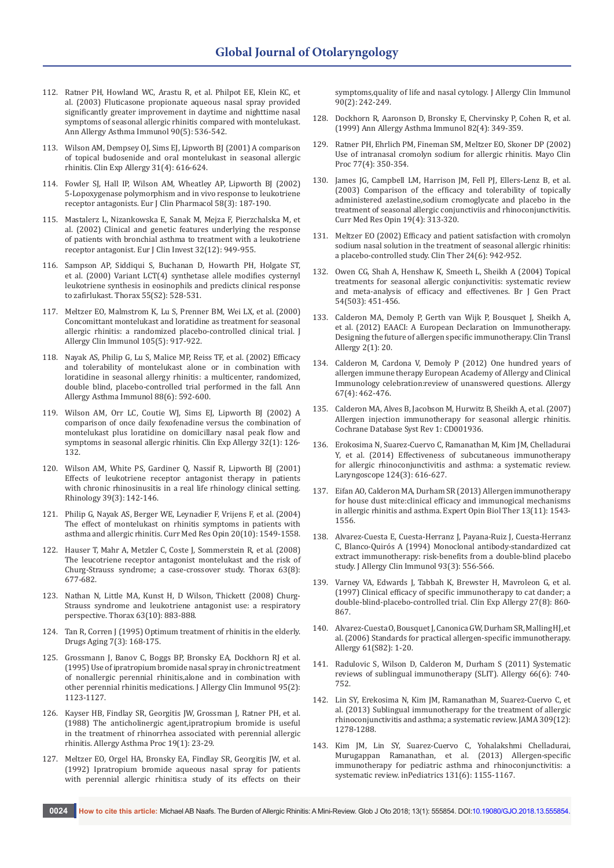- 112. [Ratner PH, Howland WC, Arastu R, et al. Philpot EE, Klein KC, et](https://www.ncbi.nlm.nih.gov/pubmed/12775135)  [al. \(2003\) Fluticasone propionate aqueous nasal spray provided](https://www.ncbi.nlm.nih.gov/pubmed/12775135)  [significantly greater improvement in daytime and nighttime nasal](https://www.ncbi.nlm.nih.gov/pubmed/12775135)  [symptoms of seasonal allergic rhinitis compared with montelukast.](https://www.ncbi.nlm.nih.gov/pubmed/12775135)  [Ann Allergy Asthma Immunol 90\(5\): 536-542.](https://www.ncbi.nlm.nih.gov/pubmed/12775135)
- 113. [Wilson AM, Dempsey OJ, Sims EJ, Lipworth BJ \(2001\) A comparison](https://www.ncbi.nlm.nih.gov/pubmed/11359431)  [of topical budosenide and oral montelukast in seasonal allergic](https://www.ncbi.nlm.nih.gov/pubmed/11359431)  [rhinitis. Clin Exp Allergy 31\(4\): 616-624.](https://www.ncbi.nlm.nih.gov/pubmed/11359431)
- 114. [Fowler SJ, Hall IP, Wilson AM, Wheatley AP, Lipworth BJ \(2002\)](https://www.ncbi.nlm.nih.gov/pubmed/12107604)  [5-Lopoxygenase polymorphism and in vivo response to leukotriene](https://www.ncbi.nlm.nih.gov/pubmed/12107604)  [receptor antagonists. Eur J Clin Pharmacol 58\(3\): 187-190.](https://www.ncbi.nlm.nih.gov/pubmed/12107604)
- 115. [Mastalerz L, Nizankowska E, Sanak M, Mejza F, Pierzchalska M, et](https://www.ncbi.nlm.nih.gov/pubmed/12534456)  [al. \(2002\) Clinical and genetic features underlying the response](https://www.ncbi.nlm.nih.gov/pubmed/12534456)  [of patients with bronchial asthma to treatment with a leukotriene](https://www.ncbi.nlm.nih.gov/pubmed/12534456)  [receptor antagonist. Eur J Clin Invest 32\(12\): 949-955.](https://www.ncbi.nlm.nih.gov/pubmed/12534456)
- 116. [Sampson AP, Siddiqui S, Buchanan D, Howarth PH, Holgate ST,](https://www.ncbi.nlm.nih.gov/pubmed/10992553)  [et al. \(2000\) Variant LCT\(4\) synthetase allele modifies cysternyl](https://www.ncbi.nlm.nih.gov/pubmed/10992553)  [leukotriene synthesis in eosinophils and predicts clinical response](https://www.ncbi.nlm.nih.gov/pubmed/10992553)  [to zafirlukast. Thorax 55\(S2\): 528-531.](https://www.ncbi.nlm.nih.gov/pubmed/10992553)
- 117. [Meltzer EO, Malmstrom K, Lu S, Prenner BM, Wei LX, et al. \(2000\)](https://www.ncbi.nlm.nih.gov/pubmed/10808172)  [Concomittant montelukast and loratidine as treatment for seasonal](https://www.ncbi.nlm.nih.gov/pubmed/10808172)  [allergic rhinitis: a randomized placebo-controlled clinical trial. J](https://www.ncbi.nlm.nih.gov/pubmed/10808172)  [Allergy Clin Immunol 105\(5\): 917-922.](https://www.ncbi.nlm.nih.gov/pubmed/10808172)
- 118. [Nayak AS, Philip G, Lu S, Malice MP, Reiss TF, et al. \(2002\) Efficacy](https://www.ncbi.nlm.nih.gov/pubmed/12086367)  [and tolerability of montelukast alone or in combination with](https://www.ncbi.nlm.nih.gov/pubmed/12086367)  [loratidine in seasonal allergy rhinitis: a multicenter, randomized,](https://www.ncbi.nlm.nih.gov/pubmed/12086367)  [double blind, placebo-controlled trial performed in the fall. Ann](https://www.ncbi.nlm.nih.gov/pubmed/12086367)  [Allergy Asthma Immunol 88\(6\): 592-600.](https://www.ncbi.nlm.nih.gov/pubmed/12086367)
- 119. [Wilson AM, Orr LC, Coutie WJ, Sims EJ, Lipworth BJ \(2002\) A](https://www.ncbi.nlm.nih.gov/pubmed/12002729)  [comparison of once daily fexofenadine versus the combination of](https://www.ncbi.nlm.nih.gov/pubmed/12002729)  [montelukast plus loratidine on domicillary nasal peak flow and](https://www.ncbi.nlm.nih.gov/pubmed/12002729)  [symptoms in seasonal allergic rhinitis. Clin Exp Allergy 32\(1\): 126-](https://www.ncbi.nlm.nih.gov/pubmed/12002729) [132.](https://www.ncbi.nlm.nih.gov/pubmed/12002729)
- 120. [Wilson AM, White PS, Gardiner Q, Nassif R, Lipworth BJ \(2001\)](https://www.ncbi.nlm.nih.gov/pubmed/11721504)  [Effects of leukotriene receptor antagonist therapy in patients](https://www.ncbi.nlm.nih.gov/pubmed/11721504)  [with chronic rhinosinusitis in a real life rhinology clinical setting.](https://www.ncbi.nlm.nih.gov/pubmed/11721504)  [Rhinology 39\(3\): 142-146.](https://www.ncbi.nlm.nih.gov/pubmed/11721504)
- 121. [Philip G, Nayak AS, Berger WE, Leynadier F, Vrijens F, et al. \(2004\)](https://www.ncbi.nlm.nih.gov/pubmed/15462688)  [The effect of montelukast on rhinitis symptoms in patients with](https://www.ncbi.nlm.nih.gov/pubmed/15462688)  [asthma and allergic rhinitis. Curr Med Res Opin 20\(10\): 1549-1558.](https://www.ncbi.nlm.nih.gov/pubmed/15462688)
- 122. [Hauser T, Mahr A, Metzler C, Coste J, Sommerstein R, et al. \(2008\)](https://www.ncbi.nlm.nih.gov/pubmed/18276721)  [The leucotriene receptor antagonist montelukast and the risk of](https://www.ncbi.nlm.nih.gov/pubmed/18276721)  [Churg-Strauss syndrome; a case-crossover study. Thorax 63\(8\):](https://www.ncbi.nlm.nih.gov/pubmed/18276721)  [677-682.](https://www.ncbi.nlm.nih.gov/pubmed/18276721)
- 123. [Nathan N, Little MA, Kunst H, D Wilson, Thickett \(2008\) Churg-](http://thorax.bmj.com/content/63/10/883)[Strauss syndrome and leukotriene antagonist use: a respiratory](http://thorax.bmj.com/content/63/10/883)  [perspective. Thorax 63\(10\): 883-888.](http://thorax.bmj.com/content/63/10/883)
- 124. [Tan R, Corren J \(1995\) Optimum treatment of rhinitis in the elderly.](https://www.ncbi.nlm.nih.gov/pubmed/8535047) [Drugs Aging 7\(3\): 168-175.](https://www.ncbi.nlm.nih.gov/pubmed/8535047)
- 125. [Grossmann J, Banov C, Boggs BP, Bronsky EA, Dockhorn RJ et al.](https://www.ncbi.nlm.nih.gov/pubmed/7538520)  [\(1995\) Use of ipratropium bromide nasal spray in chronic treatment](https://www.ncbi.nlm.nih.gov/pubmed/7538520)  [of nonallergic perennial rhinitis,alone and in combination with](https://www.ncbi.nlm.nih.gov/pubmed/7538520)  [other perennial rhinitis medications. J Allergy Clin Immunol 95\(2\):](https://www.ncbi.nlm.nih.gov/pubmed/7538520)  [1123-1127.](https://www.ncbi.nlm.nih.gov/pubmed/7538520)
- 126. [Kayser HB, Findlay SR, Georgitis JW, Grossman J, Ratner PH, et al.](https://www.ncbi.nlm.nih.gov/pubmed/9532321)  [\(1988\) The anticholinergic agent,ipratropium bromide is useful](https://www.ncbi.nlm.nih.gov/pubmed/9532321)  [in the treatment of rhinorrhea associated with perennial allergic](https://www.ncbi.nlm.nih.gov/pubmed/9532321)  [rhinitis. Allergy Asthma Proc 19\(1\): 23-29.](https://www.ncbi.nlm.nih.gov/pubmed/9532321)
- 127. [Meltzer EO, Orgel HA, Bronsky EA, Findlay SR, Georgitis JW, et al.](https://www.ncbi.nlm.nih.gov/pubmed/1386857)  [\(1992\) Ipratropium bromide aqueous nasal spray for patients](https://www.ncbi.nlm.nih.gov/pubmed/1386857)  [with perennial allergic rhinitis:a study of its effects on their](https://www.ncbi.nlm.nih.gov/pubmed/1386857)

[symptoms,quality of life and nasal cytology. J Allergy Clin Immunol](https://www.ncbi.nlm.nih.gov/pubmed/1386857)  [90\(2\): 242-249.](https://www.ncbi.nlm.nih.gov/pubmed/1386857)

- 128. [Dockhorn R, Aaronson D, Bronsky E, Chervinsky P, Cohen R, et al.](https://www.ncbi.nlm.nih.gov/pubmed/10227333)  [\(1999\) Ann Allergy Asthma Immunol 82\(4\): 349-359.](https://www.ncbi.nlm.nih.gov/pubmed/10227333)
- 129. [Ratner PH, Ehrlich PM, Fineman SM, Meltzer EO, Skoner DP \(2002\)](https://www.ncbi.nlm.nih.gov/pubmed/11936930)  [Use of intranasal cromolyn sodium for allergic rhinitis. Mayo Clin](https://www.ncbi.nlm.nih.gov/pubmed/11936930)  [Proc 77\(4\): 350-354.](https://www.ncbi.nlm.nih.gov/pubmed/11936930)
- 130. [James JG, Campbell LM, Harrison JM, Fell PJ, Ellers-Lenz B, et al.](https://www.ncbi.nlm.nih.gov/pubmed/12841924)  [\(2003\) Comparison of the efficacy and tolerability of topically](https://www.ncbi.nlm.nih.gov/pubmed/12841924)  [administered azelastine,sodium cromoglycate and placebo in the](https://www.ncbi.nlm.nih.gov/pubmed/12841924)  [treatment of seasonal allergic conjunctiviis and rhinoconjunctivitis.](https://www.ncbi.nlm.nih.gov/pubmed/12841924)  [Curr Med Res Opin 19\(4\): 313-320.](https://www.ncbi.nlm.nih.gov/pubmed/12841924)
- 131. [Meltzer EO \(2002\) Efficacy and patient satisfaction with cromolyn](https://www.ncbi.nlm.nih.gov/pubmed/12117084)  [sodium nasal solution in the treatment of seasonal allergic rhinitis:](https://www.ncbi.nlm.nih.gov/pubmed/12117084)  [a placebo-controlled study. Clin Ther 24\(6\): 942-952.](https://www.ncbi.nlm.nih.gov/pubmed/12117084)
- 132. [Owen CG, Shah A, Henshaw K, Smeeth L, Sheikh A \(2004\) Topical](https://www.ncbi.nlm.nih.gov/pubmed/15186569)  [treatments for seasonal allergic conjunctivitis: systematic review](https://www.ncbi.nlm.nih.gov/pubmed/15186569)  [and meta-analysis of efficacy and effectivenes. Br J Gen Pract](https://www.ncbi.nlm.nih.gov/pubmed/15186569)  [54\(503\): 451-456.](https://www.ncbi.nlm.nih.gov/pubmed/15186569)
- 133. [Calderon MA, Demoly P, Gerth van Wijk P, Bousquet J, Sheikh A,](https://www.ncbi.nlm.nih.gov/pubmed/23110958)  [et al. \(2012\) EAACI: A European Declaration on Immunotherapy.](https://www.ncbi.nlm.nih.gov/pubmed/23110958)  [Designing the future of allergen specific immunotherapy. Clin Transl](https://www.ncbi.nlm.nih.gov/pubmed/23110958)  [Allergy 2\(1\): 20.](https://www.ncbi.nlm.nih.gov/pubmed/23110958)
- 134. [Calderon M, Cardona V, Demoly P \(2012\) One hundred years of](https://www.ncbi.nlm.nih.gov/pubmed/22309435)  [allergen immune therapy European Academy of Allergy and Clinical](https://www.ncbi.nlm.nih.gov/pubmed/22309435)  [Immunology celebration:review of unanswered questions. Allergy](https://www.ncbi.nlm.nih.gov/pubmed/22309435)  [67\(4\): 462-476.](https://www.ncbi.nlm.nih.gov/pubmed/22309435)
- 135. [Calderon MA, Alves B, Jacobson M, Hurwitz B, Sheikh A, et al. \(2007\)](https://www.ncbi.nlm.nih.gov/pubmed/17253469)  [Allergen injection immunotherapy for seasonal allergic rhinitis.](https://www.ncbi.nlm.nih.gov/pubmed/17253469)  [Cochrane Database Syst Rev 1: CD001936.](https://www.ncbi.nlm.nih.gov/pubmed/17253469)
- 136. [Erokosima N, Suarez-Cuervo C, Ramanathan M, Kim JM, Chelladurai](https://www.ncbi.nlm.nih.gov/pubmed/23832632)  [Y, et al. \(2014\) Effectiveness of subcutaneous immunotherapy](https://www.ncbi.nlm.nih.gov/pubmed/23832632)  [for allergic rhinoconjunctivitis and asthma: a systematic review.](https://www.ncbi.nlm.nih.gov/pubmed/23832632)  [Laryngoscope 124\(3\): 616-627.](https://www.ncbi.nlm.nih.gov/pubmed/23832632)
- 137. [Eifan AO, Calderon MA, Durham SR \(2013\) Allergen immunotherapy](https://www.ncbi.nlm.nih.gov/pubmed/24099116)  [for house dust mite:clinical efficacy and immunogical mechanisms](https://www.ncbi.nlm.nih.gov/pubmed/24099116)  [in allergic rhinitis and asthma. Expert Opin Biol Ther 13\(11\): 1543-](https://www.ncbi.nlm.nih.gov/pubmed/24099116) [1556.](https://www.ncbi.nlm.nih.gov/pubmed/24099116)
- 138. [Alvarez-Cuesta E, Cuesta-Herranz J, Payana-Ruiz J, Cuesta-Herranz](https://www.ncbi.nlm.nih.gov/pubmed/8151058)  [C, Blanco-Quirós A \(1994\) Monoclonal antibody-standardized cat](https://www.ncbi.nlm.nih.gov/pubmed/8151058)  [extract immunotherapy: risk-benefits from a double-blind placebo](https://www.ncbi.nlm.nih.gov/pubmed/8151058)  [study. J Allergy Clin Immunol 93\(3\): 556-566.](https://www.ncbi.nlm.nih.gov/pubmed/8151058)
- 139. Varney VA, Edwards J, Tabbah K, Brewster H, Mavroleon G, et al. [\(1997\) Clinical efficacy of specific immunotherapy to cat dander; a](https://www.ncbi.nlm.nih.gov/pubmed/9291281)  [double-blind-placebo-controlled trial. Clin Exp Allergy 27\(8\): 860-](https://www.ncbi.nlm.nih.gov/pubmed/9291281) [867.](https://www.ncbi.nlm.nih.gov/pubmed/9291281)
- 140. [Alvarez-Cuesta O, Bousquet J, Canonica GW, Durham SR, Malling HJ, et](https://www.ncbi.nlm.nih.gov/pubmed/16930249)  [al. \(2006\) Standards for practical allergen-specific immunotherapy.](https://www.ncbi.nlm.nih.gov/pubmed/16930249)  [Allergy 61\(S82\): 1-20.](https://www.ncbi.nlm.nih.gov/pubmed/16930249)
- 141. [Radulovic S, Wilson D, Calderon M, Durham S \(2011\) Systematic](https://www.ncbi.nlm.nih.gov/pubmed/21443635)  [reviews of sublingual immunotherapy \(SLIT\). Allergy 66\(6\): 740-](https://www.ncbi.nlm.nih.gov/pubmed/21443635) [752.](https://www.ncbi.nlm.nih.gov/pubmed/21443635)
- 142. [Lin SY, Erekosima N, Kim JM, Ramanathan M, Suarez-Cuervo C, et](https://www.ncbi.nlm.nih.gov/pubmed/23532243)  [al. \(2013\) Sublingual immunotherapy for the treatment of allergic](https://www.ncbi.nlm.nih.gov/pubmed/23532243)  [rhinoconjunctivitis and asthma; a systematic review. JAMA 309\(12\):](https://www.ncbi.nlm.nih.gov/pubmed/23532243)  [1278-1288.](https://www.ncbi.nlm.nih.gov/pubmed/23532243)
- 143. [Kim JM, Lin SY, Suarez-Cuervo C, Yohalakshmi Chelladurai,](https://www.ncbi.nlm.nih.gov/pmc/articles/PMC4074663/)  [Murugappan Ramanathan, et al. \(2013\) Allergen-specific](https://www.ncbi.nlm.nih.gov/pmc/articles/PMC4074663/)  [immunotherapy for pediatric asthma and rhinoconjunctivitis: a](https://www.ncbi.nlm.nih.gov/pmc/articles/PMC4074663/)  [systematic review. inPediatrics 131\(6\): 1155-1167.](https://www.ncbi.nlm.nih.gov/pmc/articles/PMC4074663/)